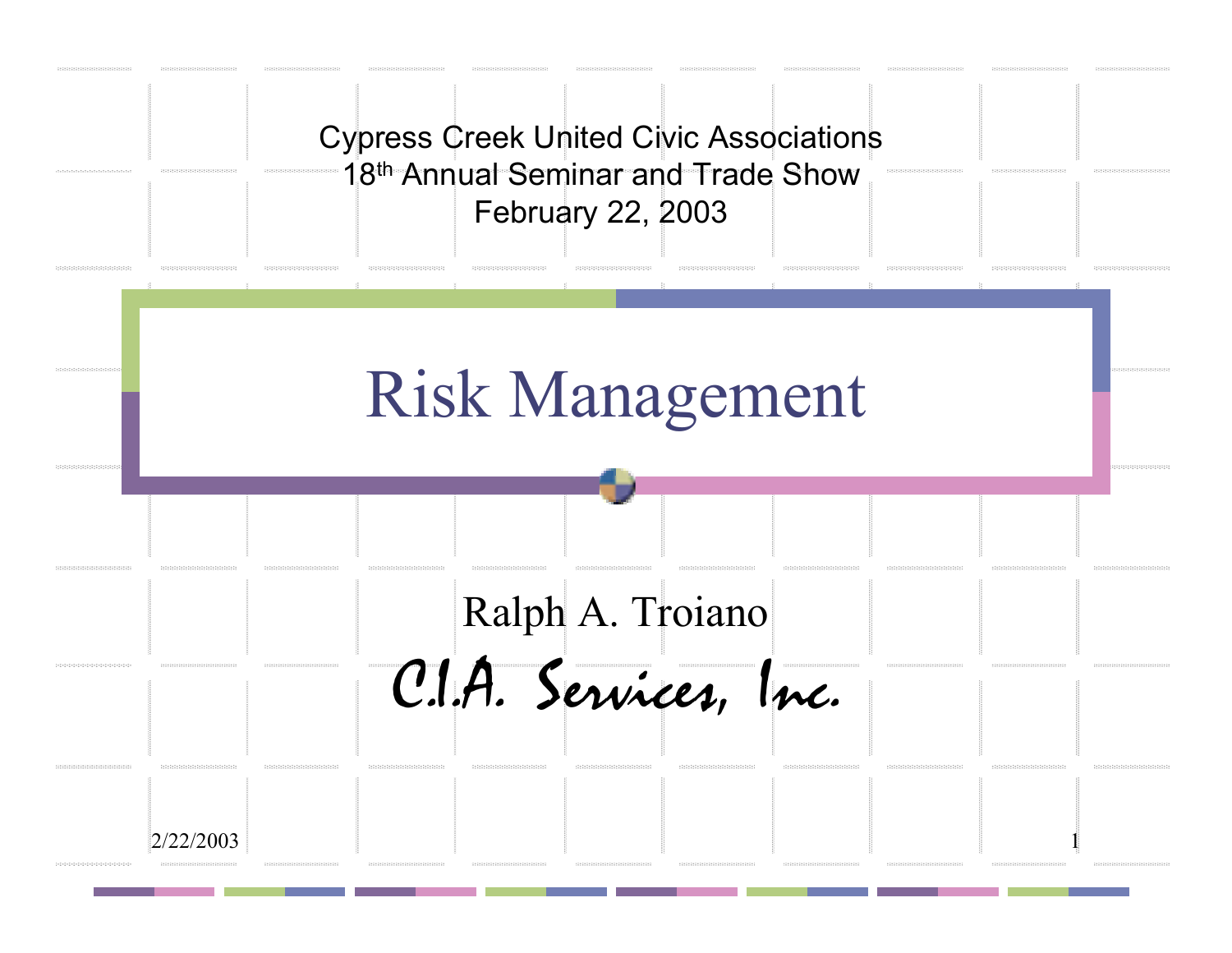|                                                                              |                                                                      | <b>Cypress Creek United Civic Associations</b><br>18th Annual Seminar and Trade Show<br>February 22, 2003 |                                                                      |                                                                |                           |
|------------------------------------------------------------------------------|----------------------------------------------------------------------|-----------------------------------------------------------------------------------------------------------|----------------------------------------------------------------------|----------------------------------------------------------------|---------------------------|
|                                                                              |                                                                      | <b>Risk Management</b>                                                                                    |                                                                      |                                                                |                           |
|                                                                              |                                                                      | Ralph A. Troiano<br>C.I.A. Services, Inc.<br>$19333333333333333333333333$                                 | <b>SERIES SERIES SERIES</b>                                          | $15151515151515151515151515151$<br><b>INSTRUCCIONSKINSKINS</b> | <b>INSTRUCTIONS</b>       |
| 2/22/2003<br>12121231231232123212321232<br>242424242424242424242424242424242 | 2424242424242424242424242424242<br>424242424242424242424242424242424 | 424242424242424242424242424242424<br>0000000000000000000000000000                                         | 1000101010101010101010101010101<br>120212-2120212-212022-212022-2120 | 00000000000000000000000000<br>******************************   | 0000000000000000000000000 |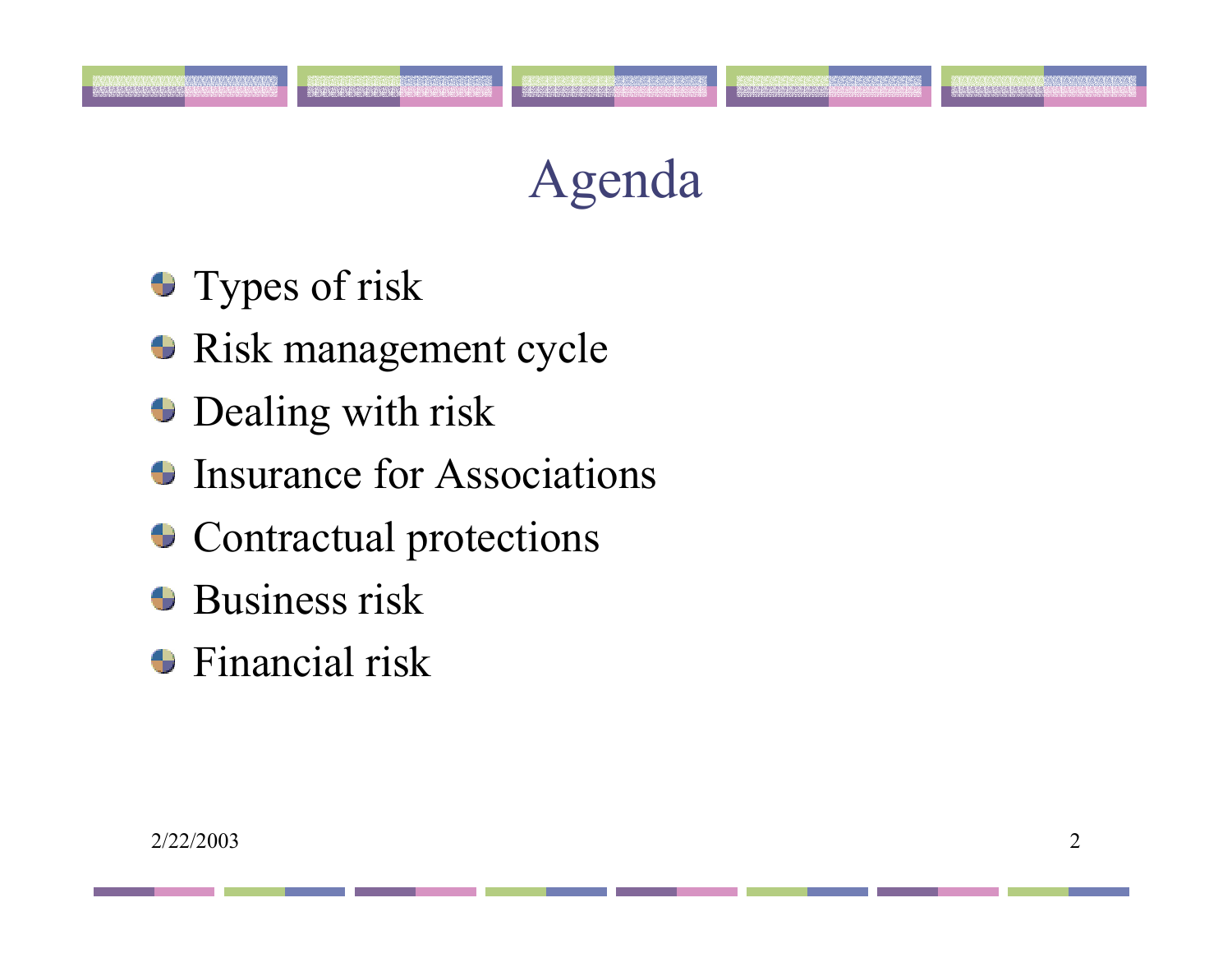# Agenda

**Types of risk** 

.<br>Rekenenen en en en en e

- Risk management cycle
- **Dealing with risk**
- Insurance for Associations
- **Contractual protections**
- **Business risk**
- Financial risk

.<br>Inen inen en en en inen en e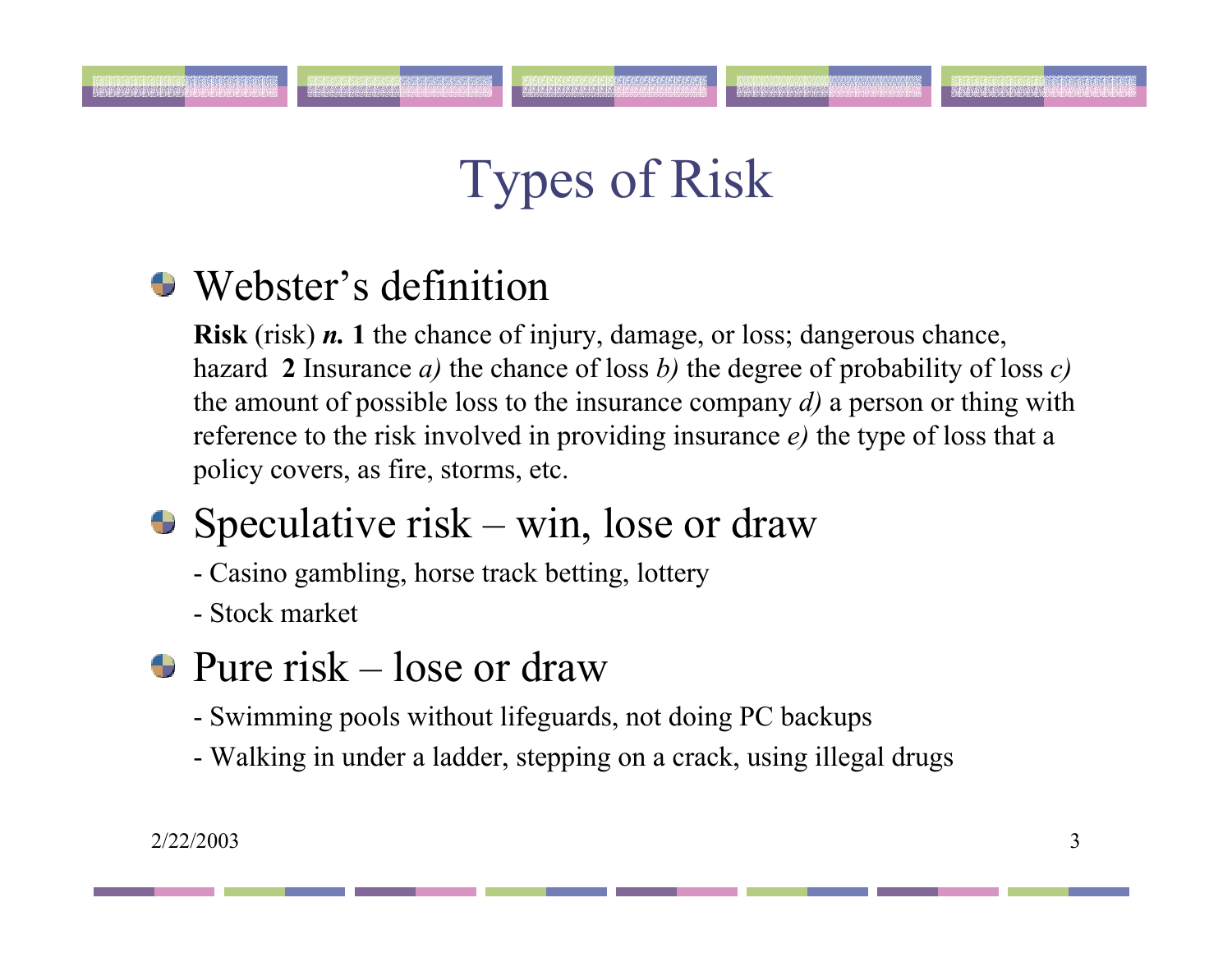# Types of Risk

### Webster's definition

**Risk** (risk) *n.* **1** the chance of injury, damage, or loss; dangerous chance, hazard **2** Insurance *a)* the chance of loss *b)* the degree of probability of loss *c)* the amount of possible loss to the insurance company *d)* a person or thing with reference to the risk involved in providing insurance *e)* the type of loss that a policy covers, as fire, storms, etc.

- $\bullet$  Speculative risk win, lose or draw
	- Casino gambling, horse track betting, lottery
	- Stock market

#### $\bullet$  Pure risk – lose or draw

- Swimming pools without lifeguards, not doing PC backups
- Walking in under a ladder, stepping on a crack, using illegal drugs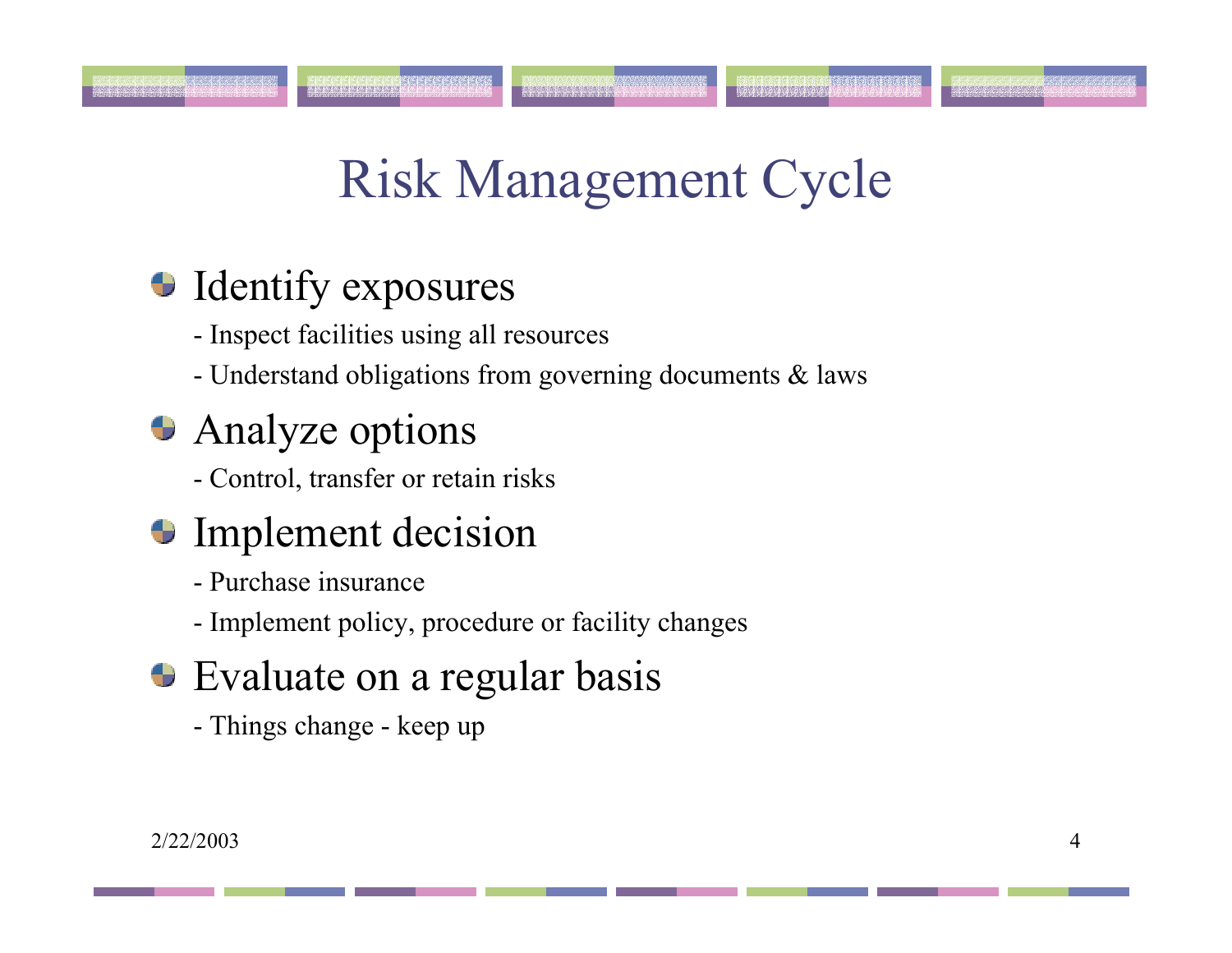# Risk Management Cycle

#### **Identify exposures**

- Inspect facilities using all resources
- Understand obligations from governing documents & laws

### **• Analyze options**

- Control, transfer or retain risks

#### **Implement decision**

- Purchase insurance
- Implement policy, procedure or facility changes
- Evaluate on a regular basis
	- Things change keep up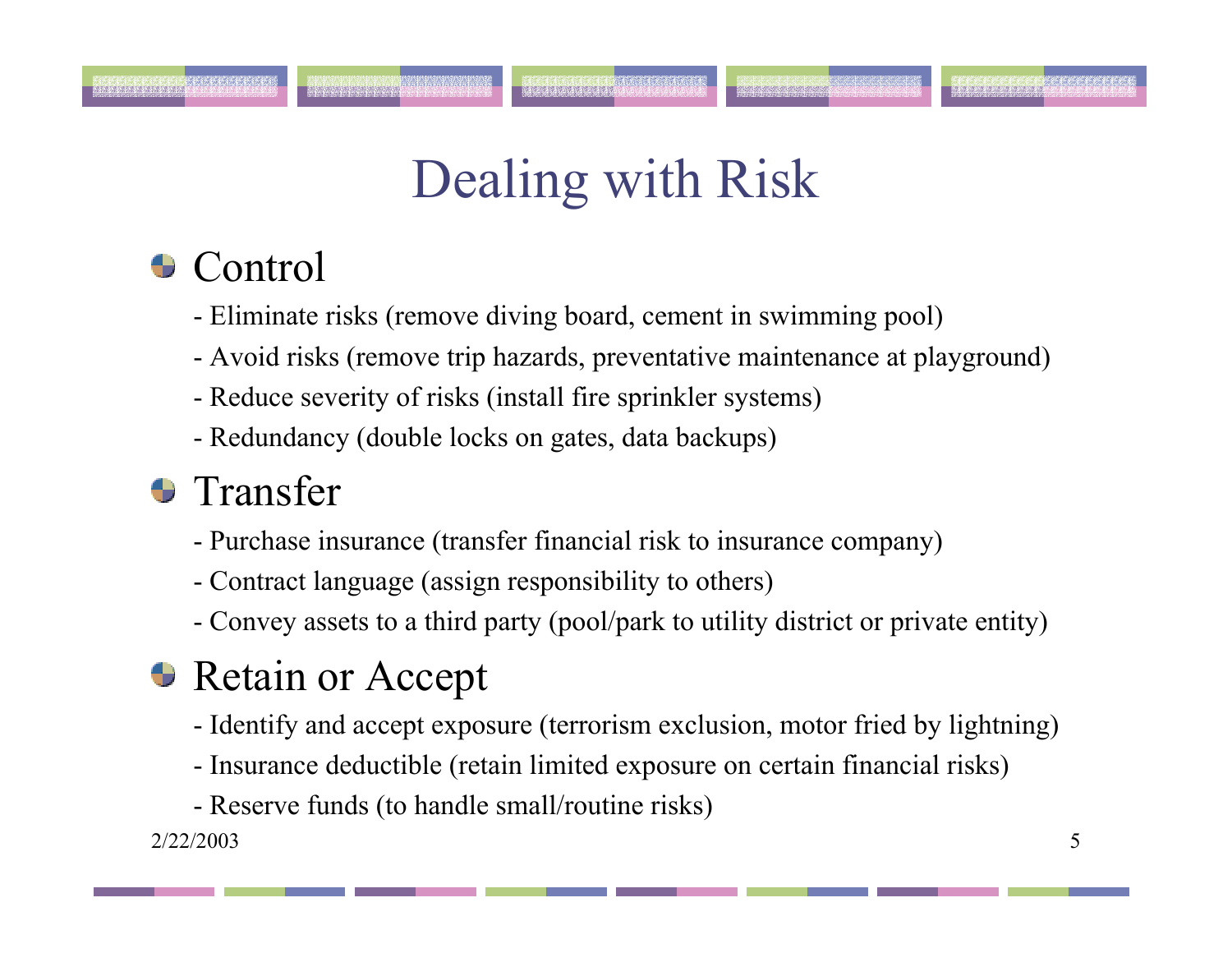# Dealing with Risk

#### **Control**

- Eliminate risks (remove diving board, cement in swimming pool)
- Avoid risks (remove trip hazards, preventative maintenance at playground)
- Reduce severity of risks (install fire sprinkler systems)
- Redundancy (double locks on gates, data backups)

### **•** Transfer

- Purchase insurance (transfer financial risk to insurance company)
- Contract language (assign responsibility to others)
- Convey assets to a third party (pool/park to utility district or private entity)

### **Retain or Accept**

- Identify and accept exposure (terrorism exclusion, motor fried by lightning)
- Insurance deductible (retain limited exposure on certain financial risks)
- Reserve funds (to handle small/routine risks)

2/22/2003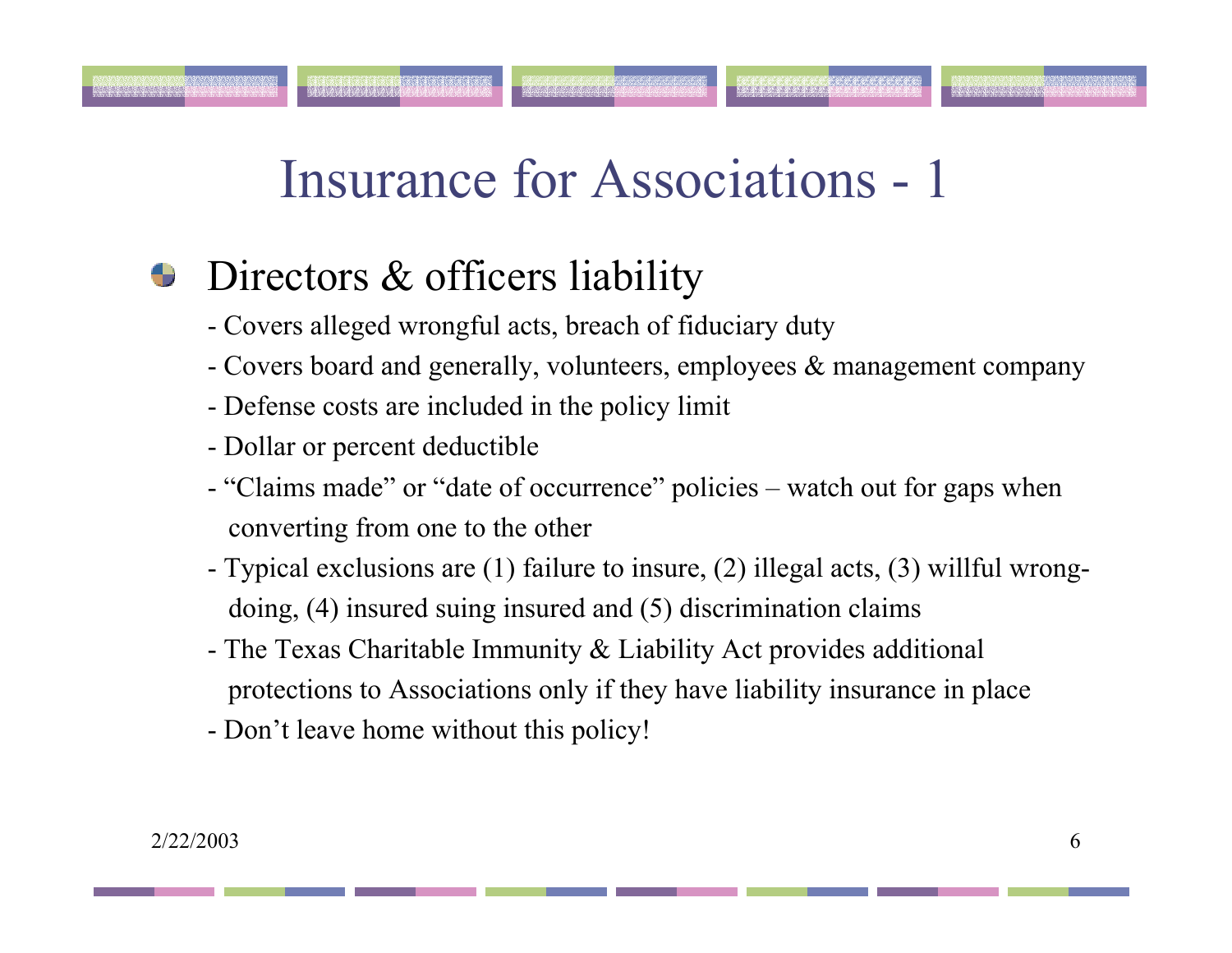#### Directors & officers liability ₩

- Covers alleged wrongful acts, breach of fiduciary duty
- Covers board and generally, volunteers, employees & management company
- Defense costs are included in the policy limit
- Dollar or percent deductible
- "Claims made" or "date of occurrence" policies watch out for gaps when converting from one to the other
- Typical exclusions are (1) failure to insure, (2) illegal acts, (3) willful wrongdoing, (4) insured suing insured and (5) discrimination claims
- The Texas Charitable Immunity & Liability Act provides additional protections to Associations only if they have liability insurance in place
- Don't leave home without this policy!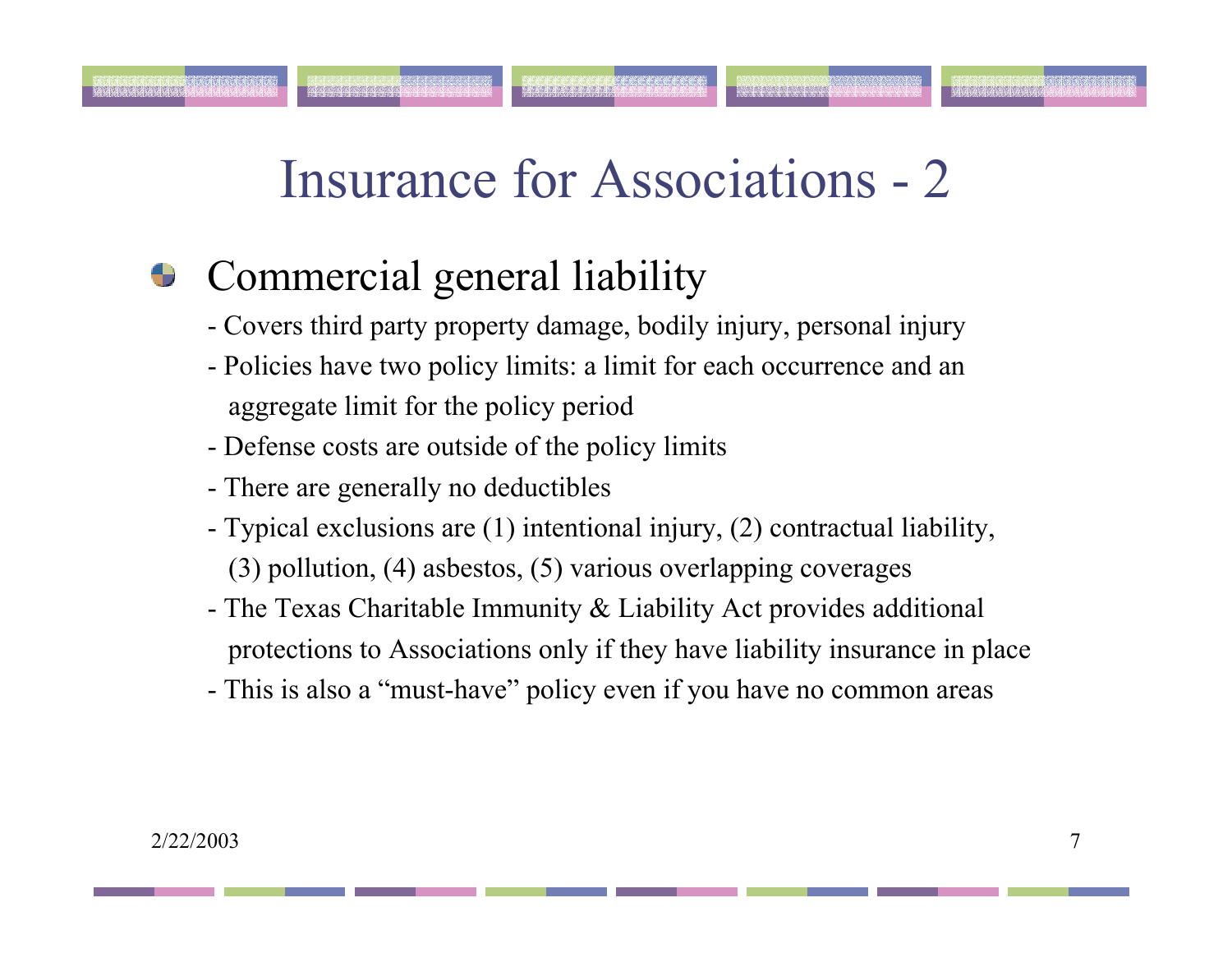#### Commercial general liability ÷

- Covers third party property damage, bodily injury, personal injury
- Policies have two policy limits: a limit for each occurrence and an aggregate limit for the policy period
- Defense costs are outside of the policy limits
- There are generally no deductibles
- Typical exclusions are (1) intentional injury, (2) contractual liability, (3) pollution, (4) asbestos, (5) various overlapping coverages
- The Texas Charitable Immunity & Liability Act provides additional protections to Associations only if they have liability insurance in place
- This is also a "must-have" policy even if you have no common areas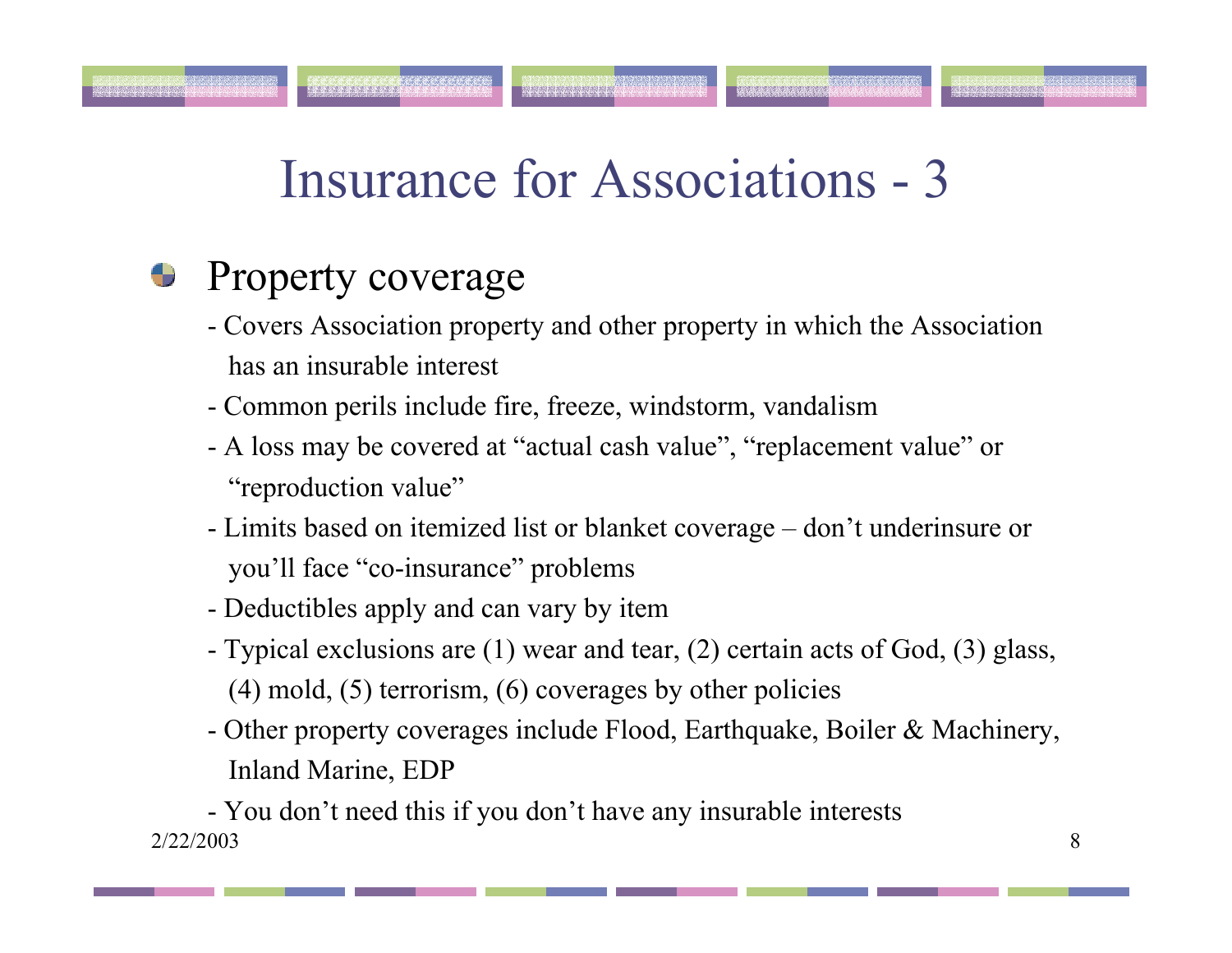#### Property coverage 9

- Covers Association property and other property in which the Association has an insurable interest
- Common perils include fire, freeze, windstorm, vandalism
- A loss may be covered at "actual cash value", "replacement value" or "reproduction value"
- Limits based on itemized list or blanket coverage don't underinsure or you'll face "co-insurance" problems
- Deductibles apply and can vary by item
- Typical exclusions are (1) wear and tear, (2) certain acts of God, (3) glass, (4) mold, (5) terrorism, (6) coverages by other policies
- Other property coverages include Flood, Earthquake, Boiler & Machinery, Inland Marine, EDP

2/22/2003 $\frac{3}{3}$ - You don't need this if you don't have any insurable interests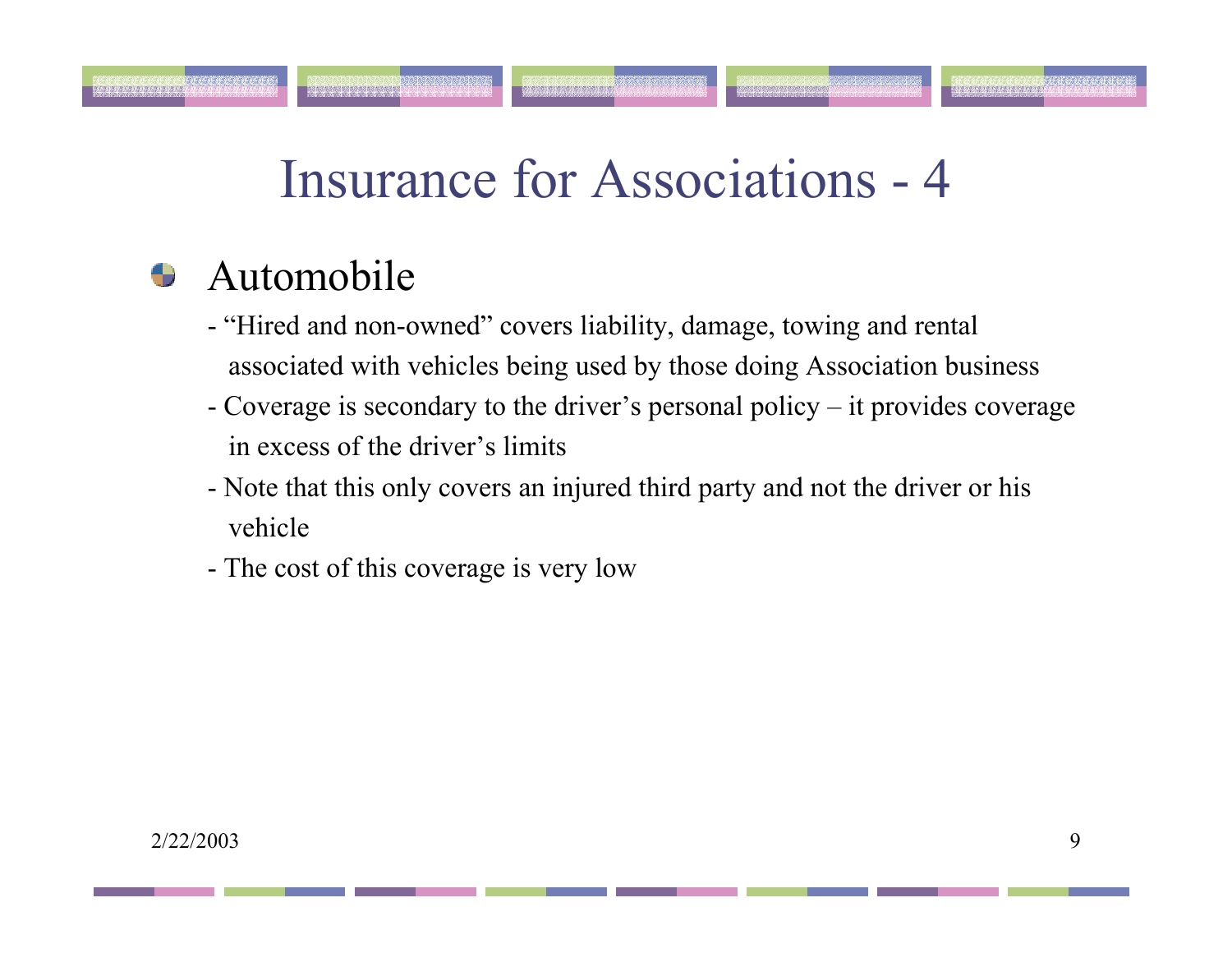#### Automobile

- "Hired and non-owned" covers liability, damage, towing and rental associated with vehicles being used by those doing Association business
- Coverage is secondary to the driver's personal policy it provides coverage in excess of the driver's limits
- Note that this only covers an injured third party and not the driver or his vehicle
- The cost of this coverage is very low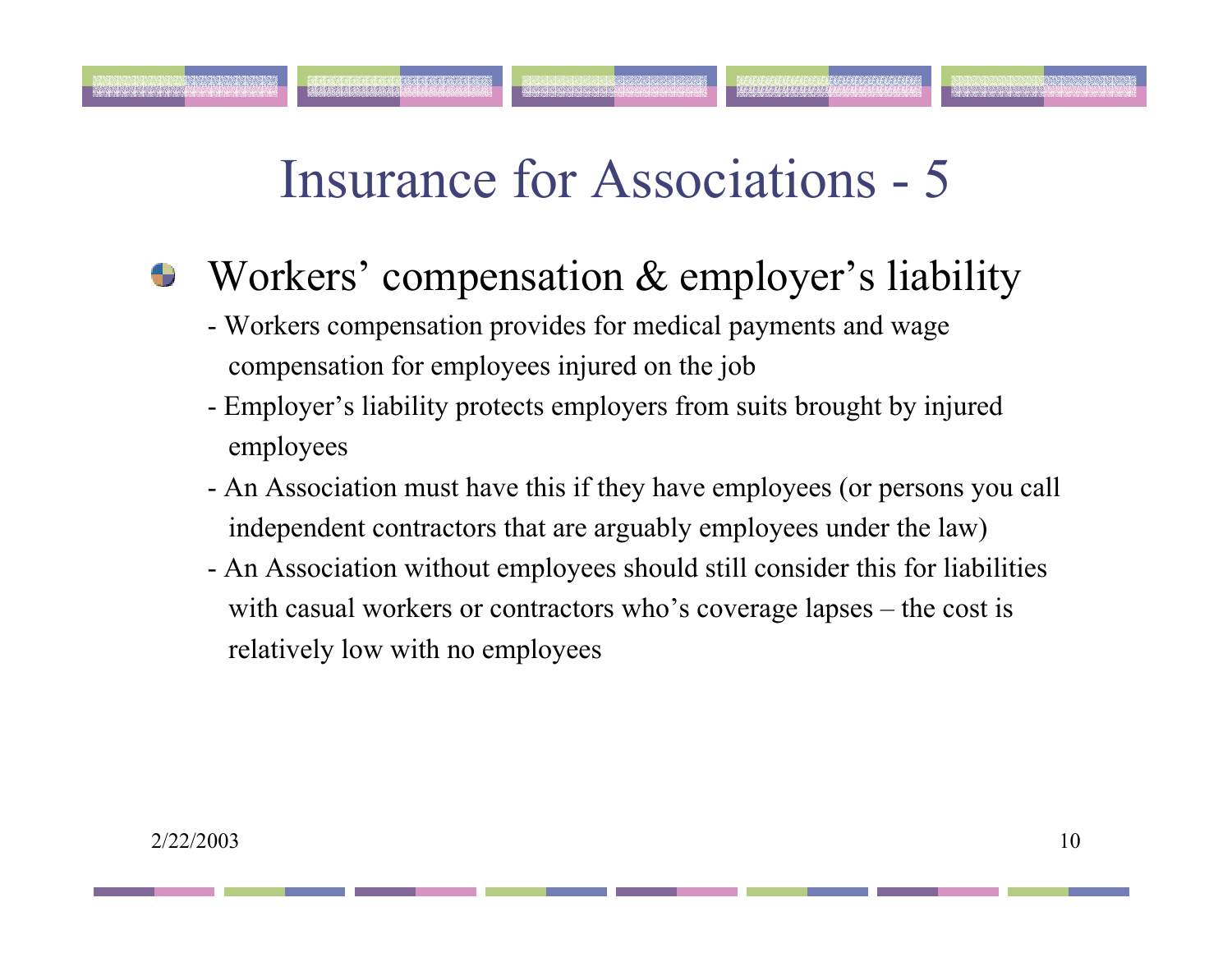- Workers' compensation & employer's liability ❤
	- Workers compensation provides for medical payments and wage compensation for employees injured on the job
	- Employer's liability protects employers from suits brought by injured employees
	- An Association must have this if they have employees (or persons you call independent contractors that are arguably employees under the law)
	- An Association without employees should still consider this for liabilities with casual workers or contractors who's coverage lapses – the cost is relatively low with no employees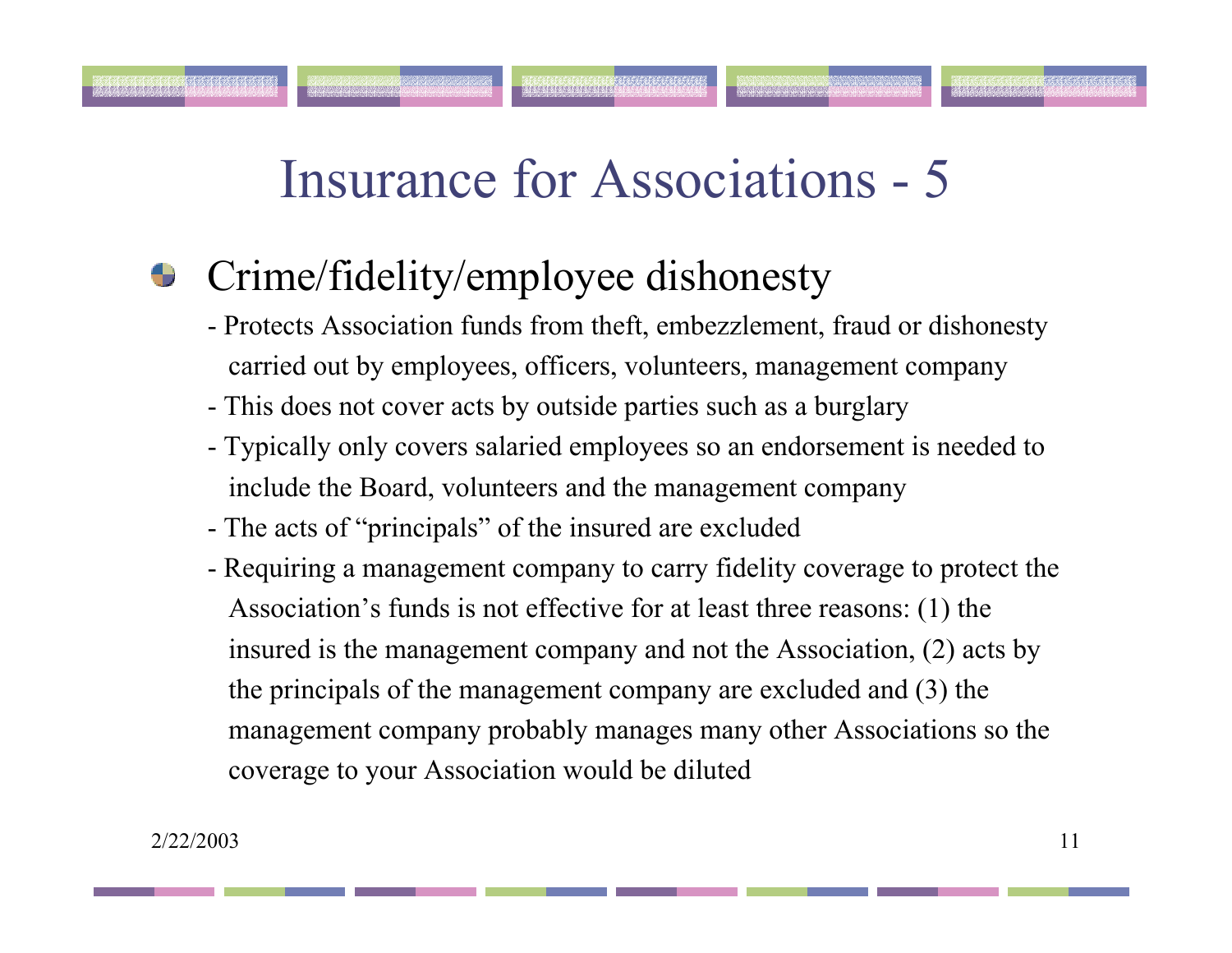istotstotstotstotstot<sup>sk</sup>

#### Crime/fidelity/employee dishonesty ₩

- Protects Association funds from theft, embezzlement, fraud or dishonesty carried out by employees, officers, volunteers, management company
- This does not cover acts by outside parties such as a burglary
- Typically only covers salaried employees so an endorsement is needed to include the Board, volunteers and the management company
- The acts of "principals" of the insured are excluded
- Requiring a management company to carry fidelity coverage to protect the Association's funds is not effective for at least three reasons: (1) the insured is the management company and not the Association, (2) acts by the principals of the management company are excluded and (3) the management company probably manages many other Associations so the coverage to your Association would be diluted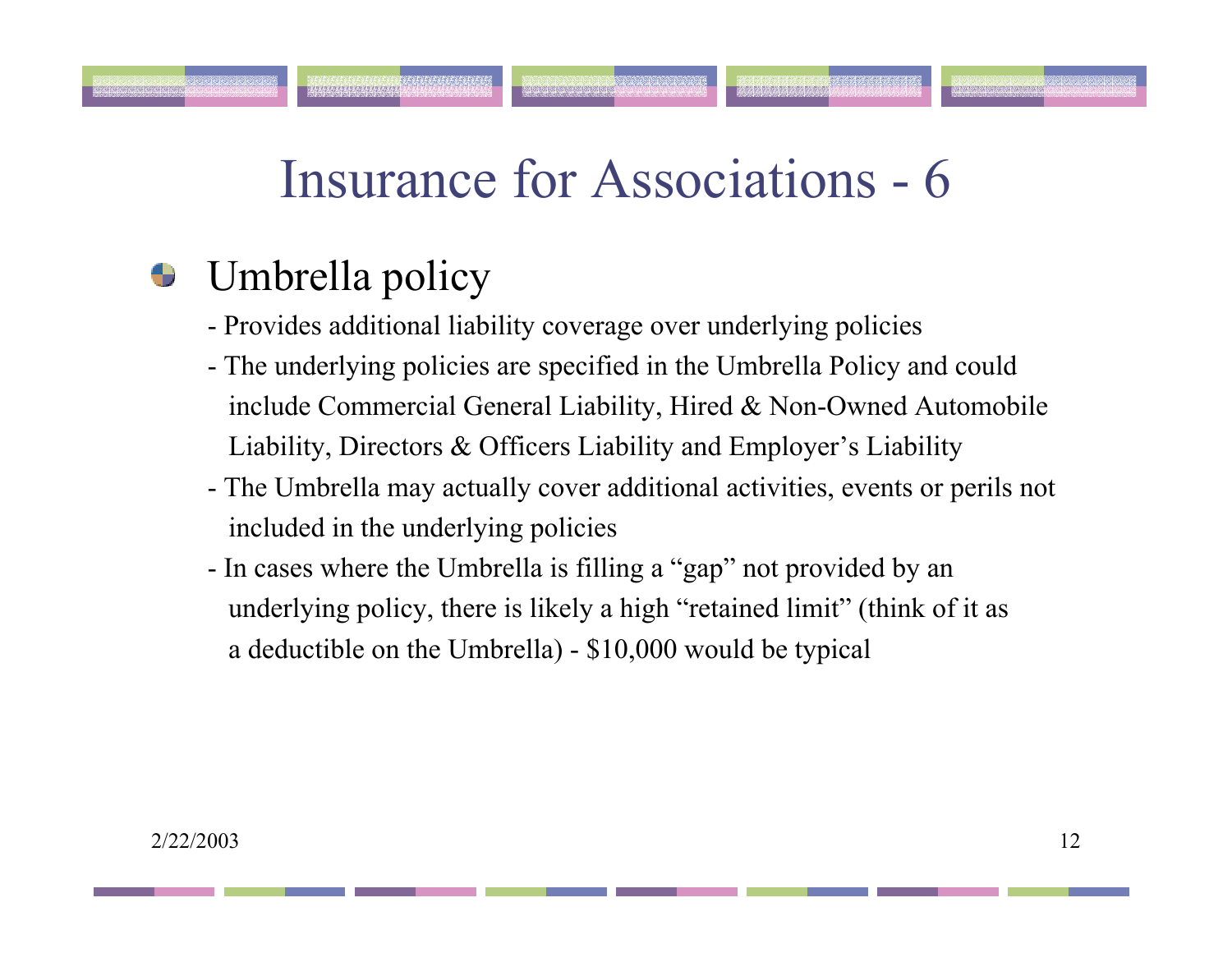#### Umbrella policy ÷

la ta ta ta la la la la la l

- Provides additional liability coverage over underlying policies
- The underlying policies are specified in the Umbrella Policy and could include Commercial General Liability, Hired & Non-Owned Automobile Liability, Directors & Officers Liability and Employer's Liability
- The Umbrella may actually cover additional activities, events or perils not included in the underlying policies
- In cases where the Umbrella is filling a "gap" not provided by an underlying policy, there is likely a high "retained limit" (think of it as a deductible on the Umbrella) - \$10,000 would be typical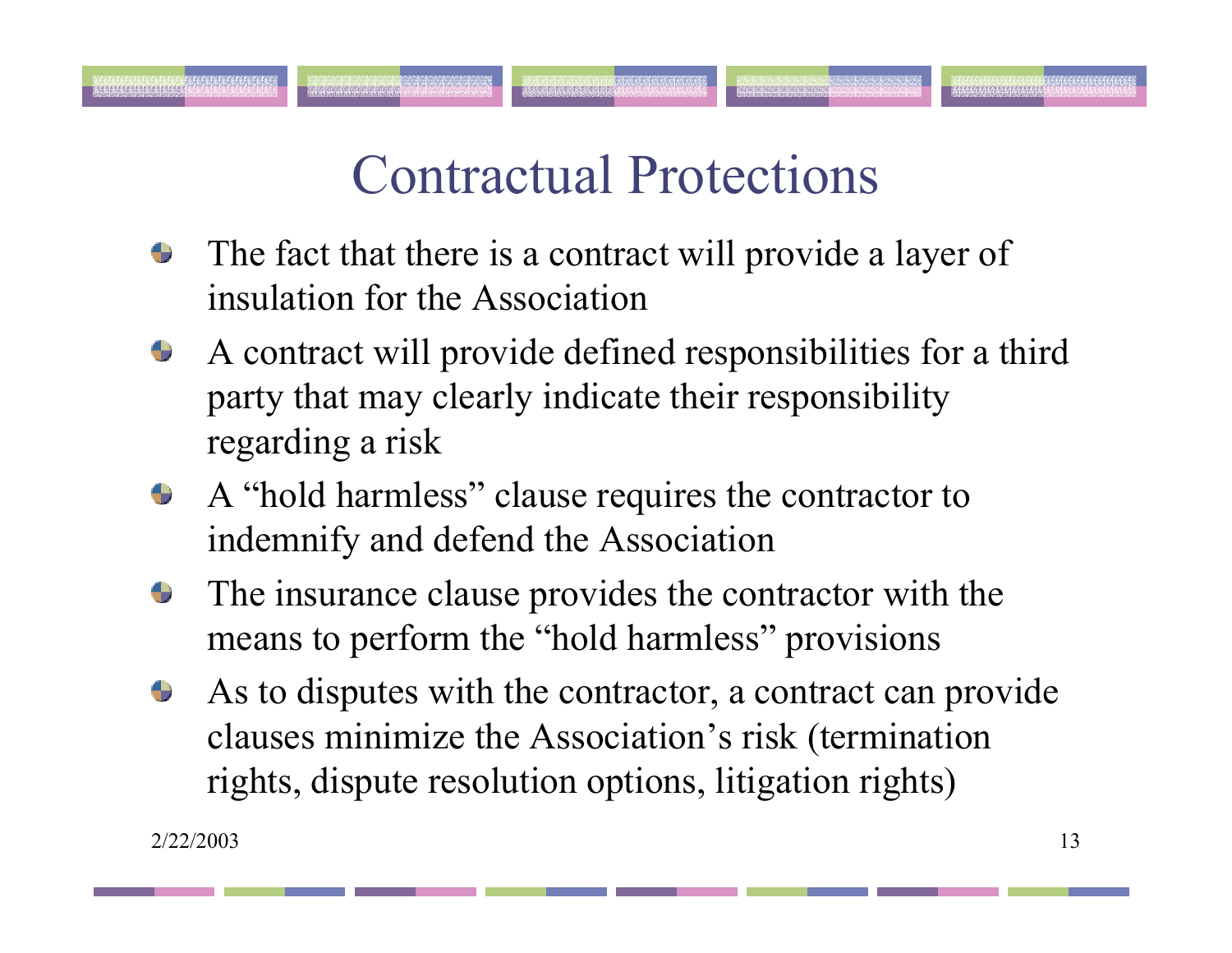# Contractual Protections

- The fact that there is a contract will provide a layer of ۰ insulation for the Association
- A contract will provide defined responsibilities for a third  $\bullet$ party that may clearly indicate their responsibility regarding a risk
- A "hold harmless" clause requires the contractor to  $\bullet$ indemnify and defend the Association
- The insurance clause provides the contractor with the Ð means to perform the "hold harmless" provisions
- As to disputes with the contractor, a contract can provide  $\bullet$ clauses minimize the Association's risk (termination rights, dispute resolution options, litigation rights)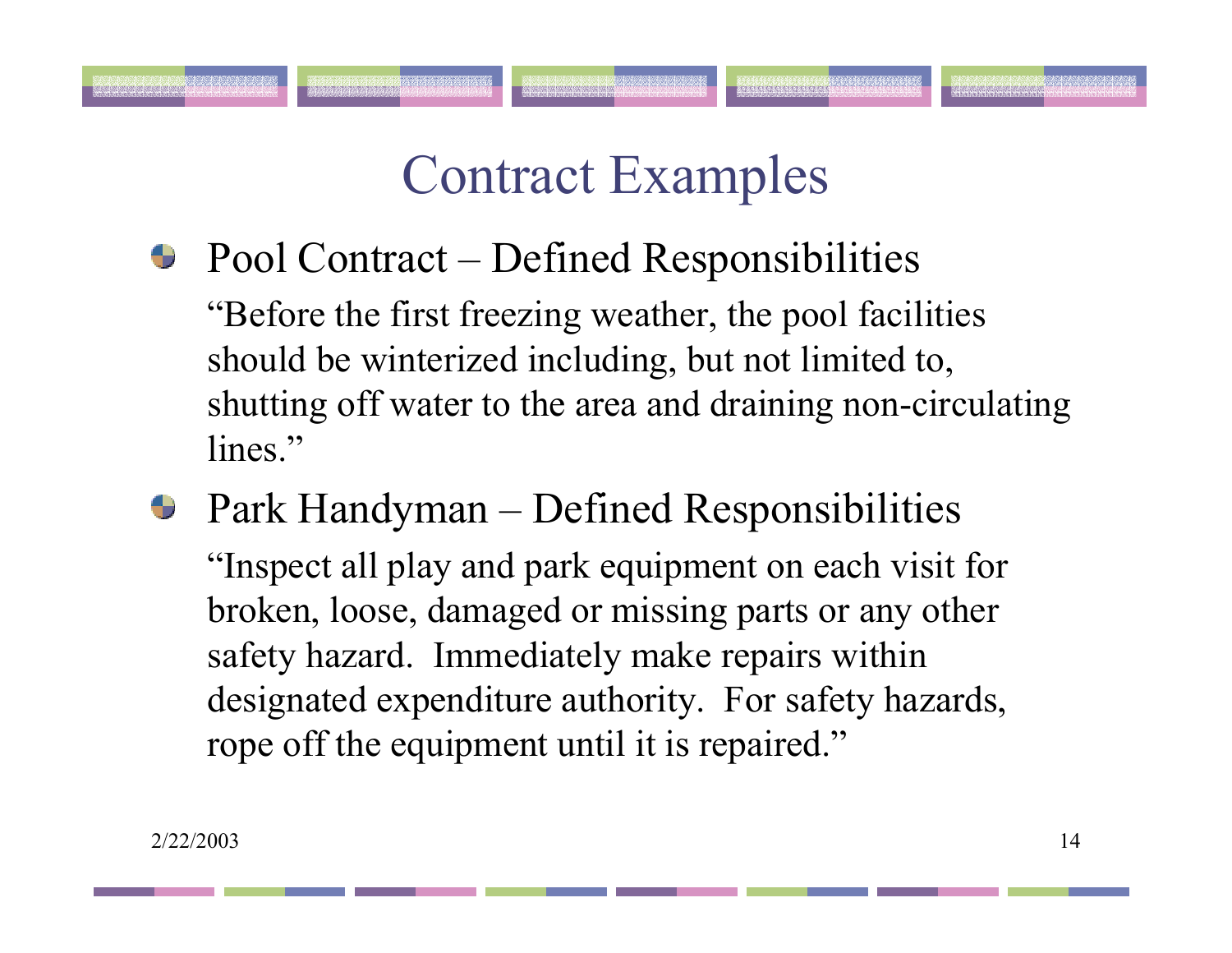- $\bullet$  Pool Contract Defined Responsibilities "Before the first freezing weather, the pool facilities should be winterized including, but not limited to, shutting off water to the area and draining non-circulating lines."
- Park Handyman Defined Responsibilities "Inspect all play and park equipment on each visit for broken, loose, damaged or missing parts or any other safety hazard. Immediately make repairs within designated expenditure authority. For safety hazards, rope off the equipment until it is repaired."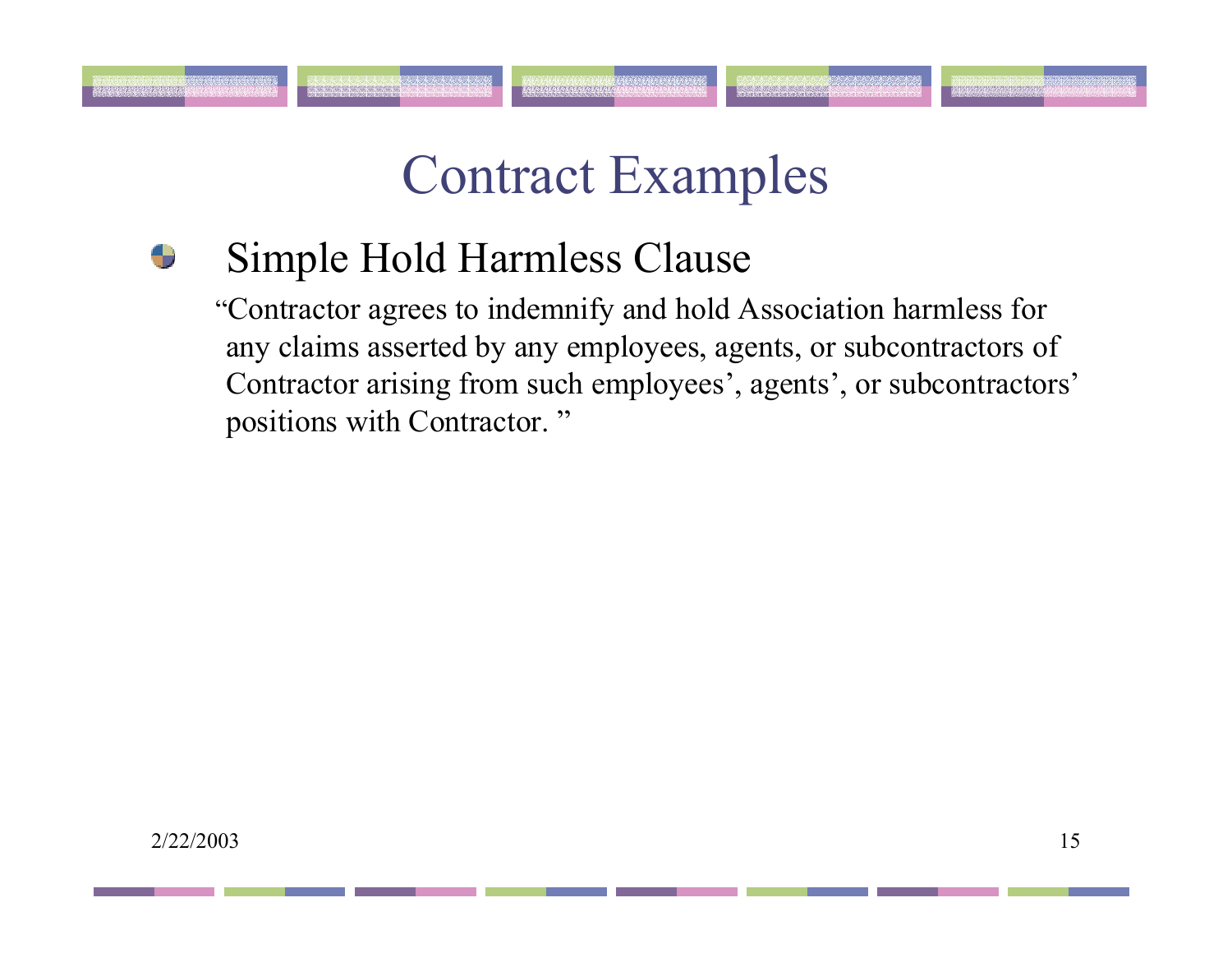### Simple Hold Harmless Clause

"Contractor agrees to indemnify and hold Association harmless for any claims asserted by any employees, agents, or subcontractors of Contractor arising from such employees', agents', or subcontractors' positions with Contractor. "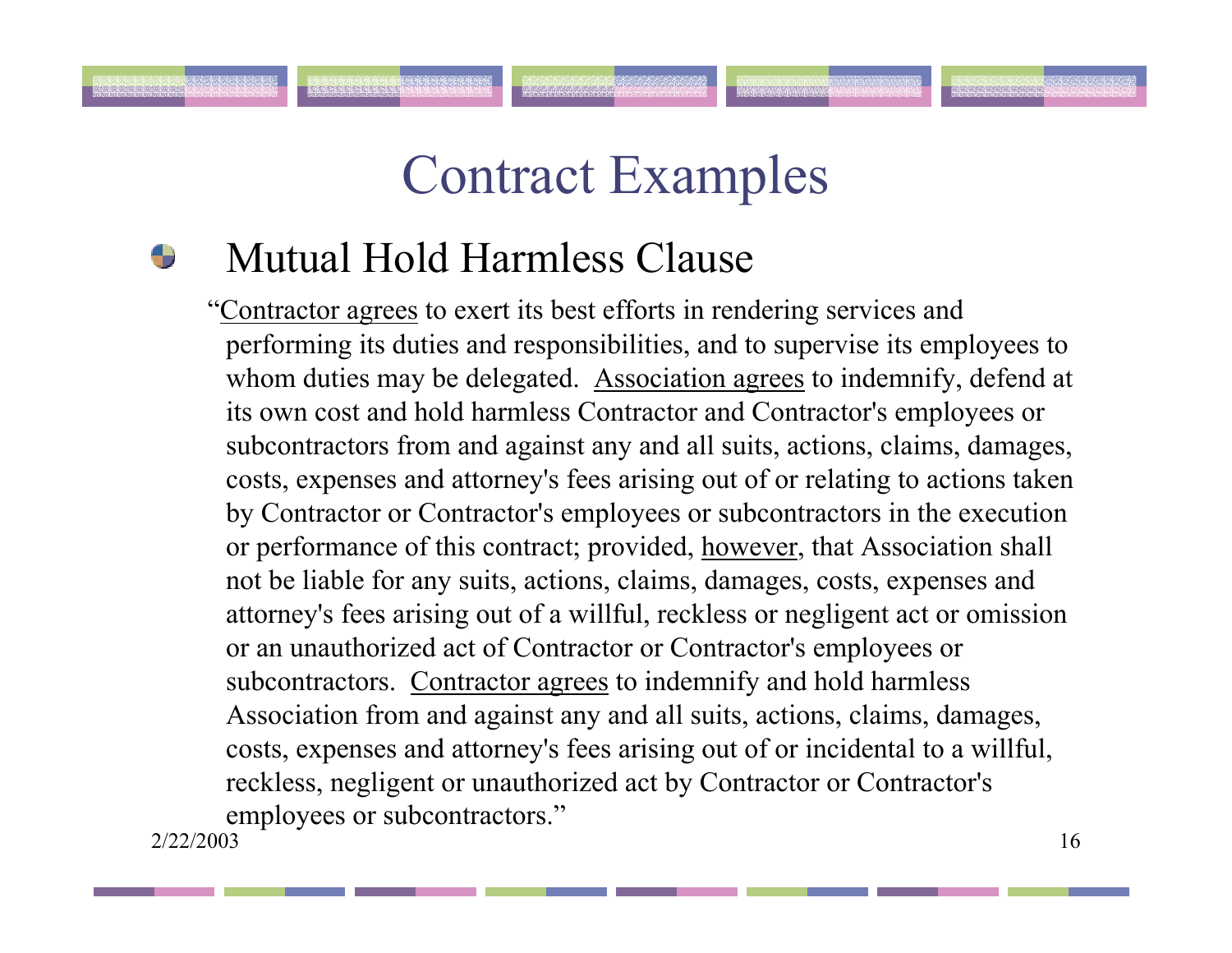#### Mutual Hold Harmless Clause

2/22/2003 $\frac{3}{16}$ "Contractor agrees to exert its best efforts in rendering services and performing its duties and responsibilities, and to supervise its employees to whom duties may be delegated. Association agrees to indemnify, defend at its own cost and hold harmless Contractor and Contractor's employees or subcontractors from and against any and all suits, actions, claims, damages, costs, expenses and attorney's fees arising out of or relating to actions taken by Contractor or Contractor's employees or subcontractors in the execution or performance of this contract; provided, however, that Association shall not be liable for any suits, actions, claims, damages, costs, expenses and attorney's fees arising out of a willful, reckless or negligent act or omission or an unauthorized act of Contractor or Contractor's employees or subcontractors. Contractor agrees to indemnify and hold harmless Association from and against any and all suits, actions, claims, damages, costs, expenses and attorney's fees arising out of or incidental to a willful, reckless, negligent or unauthorized act by Contractor or Contractor's employees or subcontractors."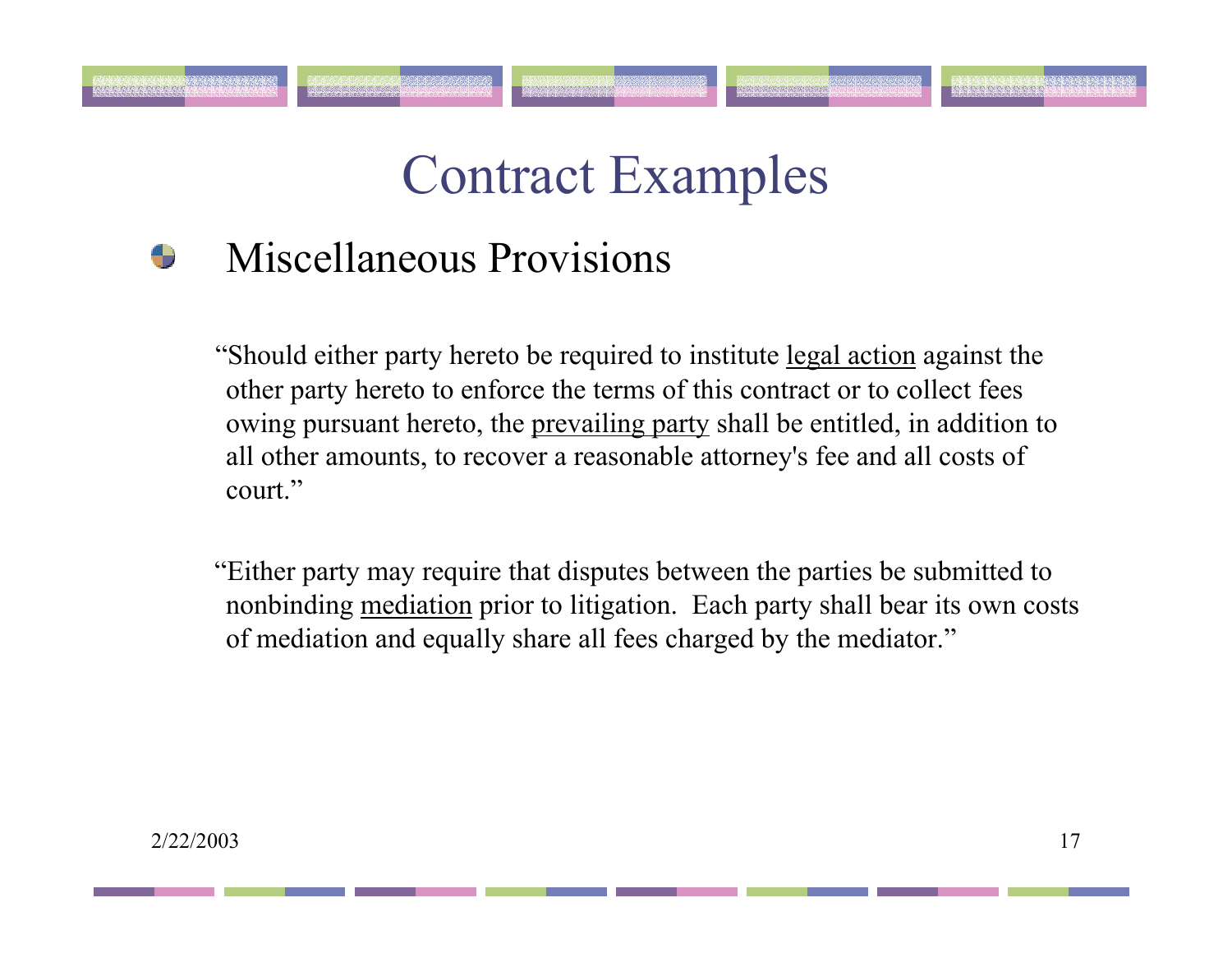#### Miscellaneous Provisions

"Should either party hereto be required to institute legal action against the other party hereto to enforce the terms of this contract or to collect fees owing pursuant hereto, the prevailing party shall be entitled, in addition to all other amounts, to recover a reasonable attorney's fee and all costs of court."

"Either party may require that disputes between the parties be submitted to nonbinding mediation prior to litigation. Each party shall bear its own costs of mediation and equally share all fees charged by the mediator."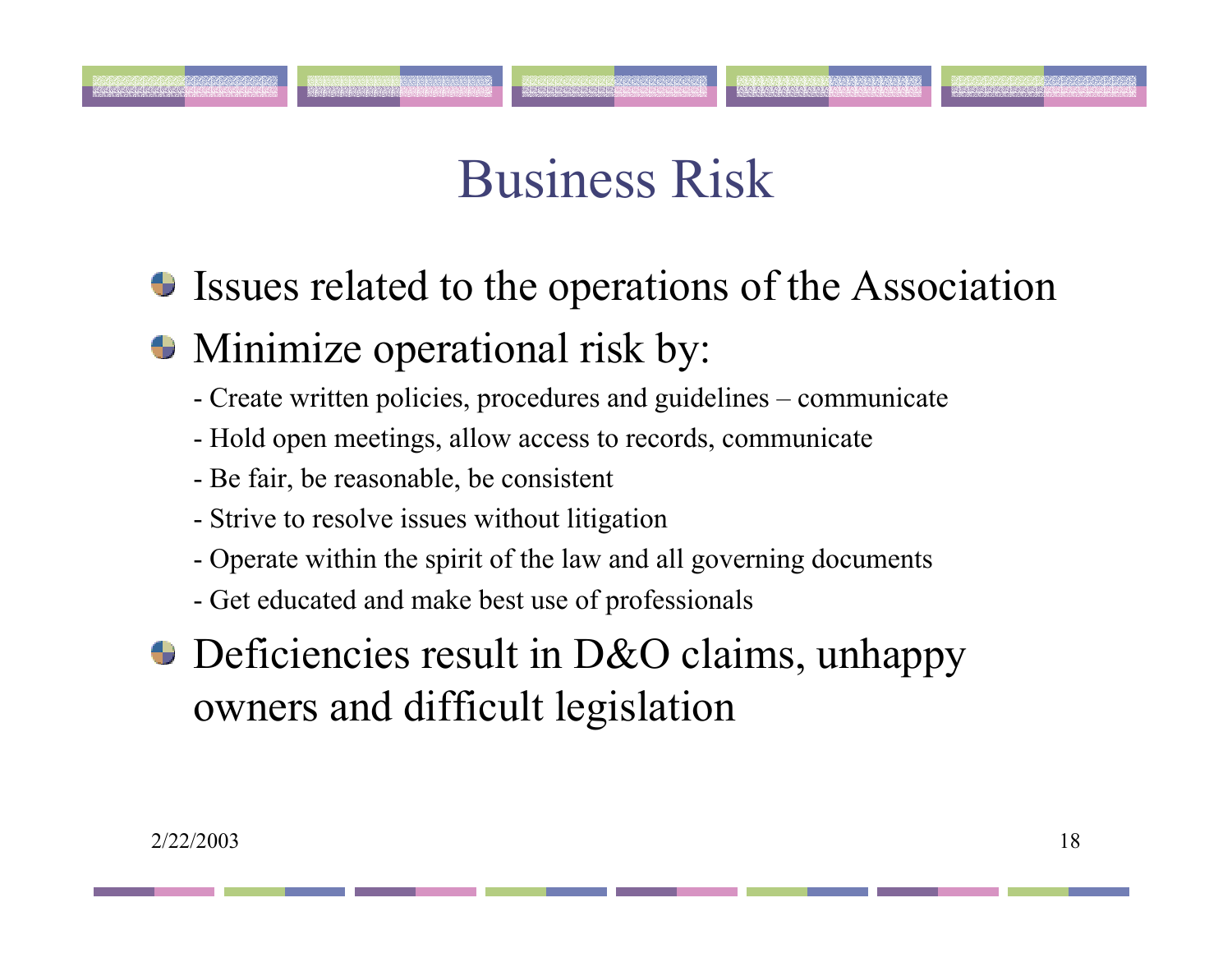# Business Risk

- Issues related to the operations of the Association
- Minimize operational risk by:
	- Create written policies, procedures and guidelines communicate
	- Hold open meetings, allow access to records, communicate
	- Be fair, be reasonable, be consistent
	- Strive to resolve issues without litigation
	- Operate within the spirit of the law and all governing documents
	- Get educated and make best use of professionals
- **Deficiencies result in D&O claims, unhappy** owners and difficult legislation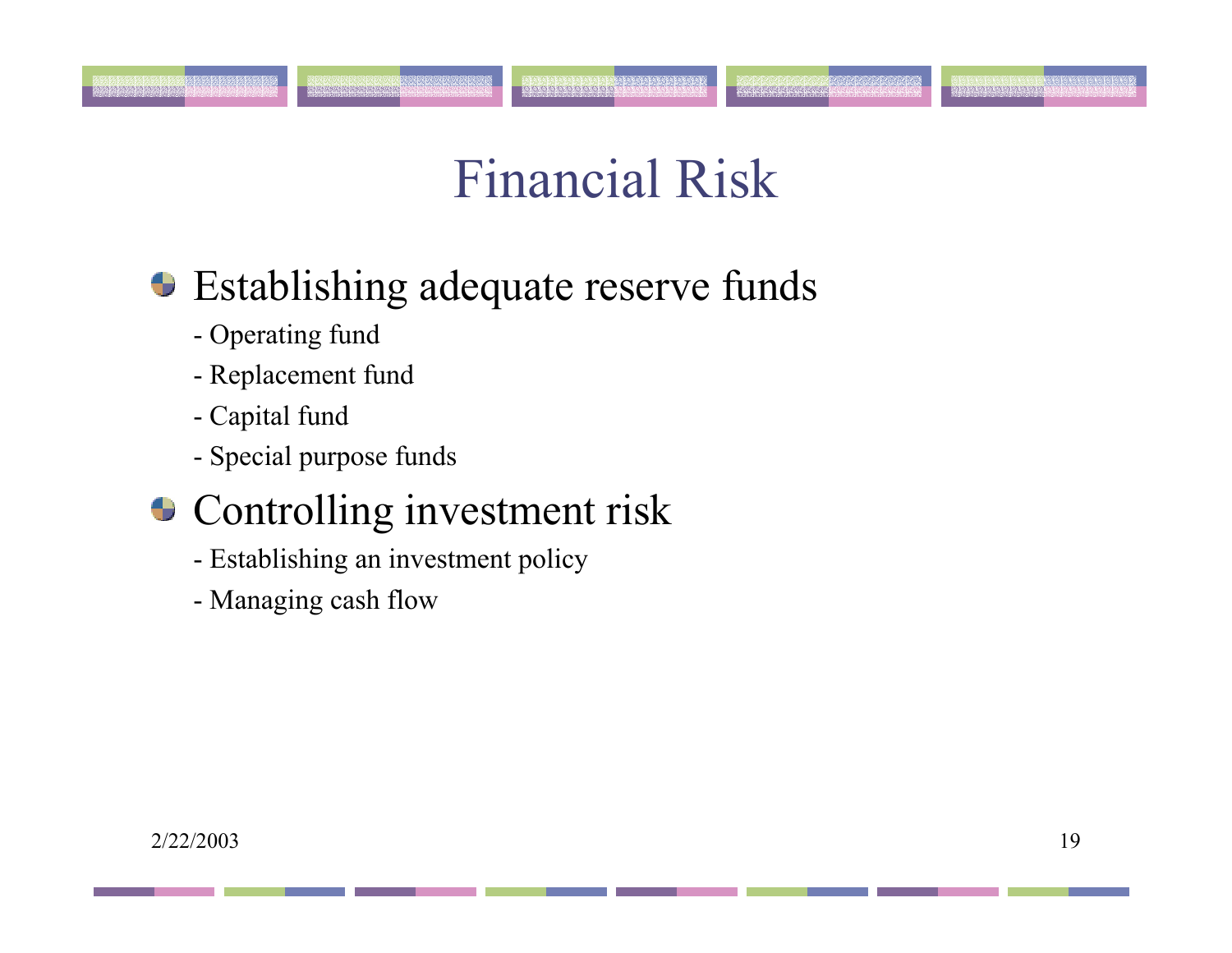# Financial Risk

### **Establishing adequate reserve funds**

- Operating fund
- Replacement fund
- Capital fund
- Special purpose funds

.<br>Przykładzie przydzie przykładzie

### **Controlling investment risk**

- Establishing an investment policy
- Managing cash flow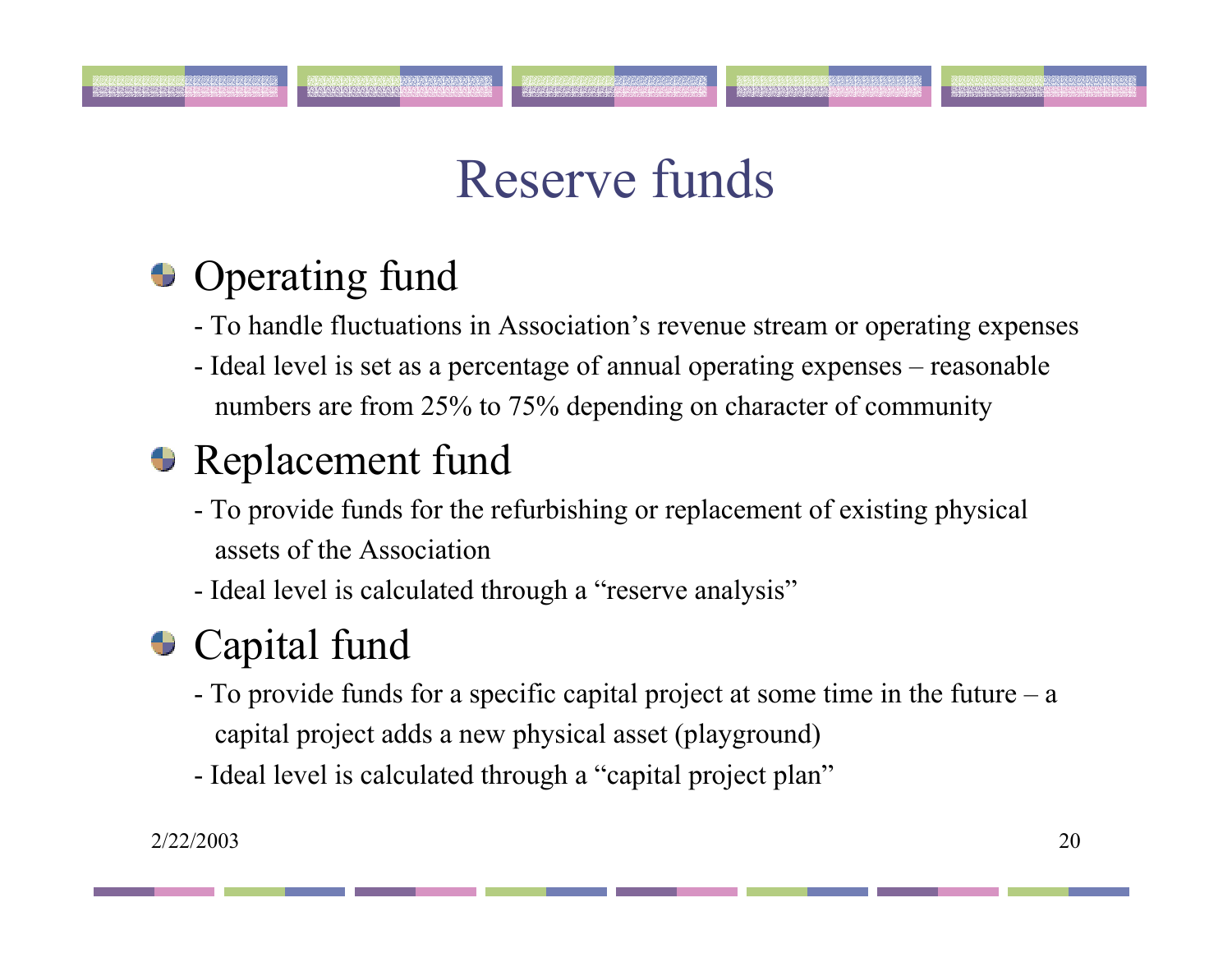# Reserve funds

## **• Operating fund**

- To handle fluctuations in Association's revenue stream or operating expenses
- Ideal level is set as a percentage of annual operating expenses reasonable numbers are from 25% to 75% depending on character of community

### **Replacement fund**

- To provide funds for the refurbishing or replacement of existing physical assets of the Association
- Ideal level is calculated through a "reserve analysis"

## **Capital fund**

- To provide funds for a specific capital project at some time in the future <sup>a</sup> capital project adds a new physical asset (playground)
- Ideal level is calculated through a "capital project plan"

anan kananan barang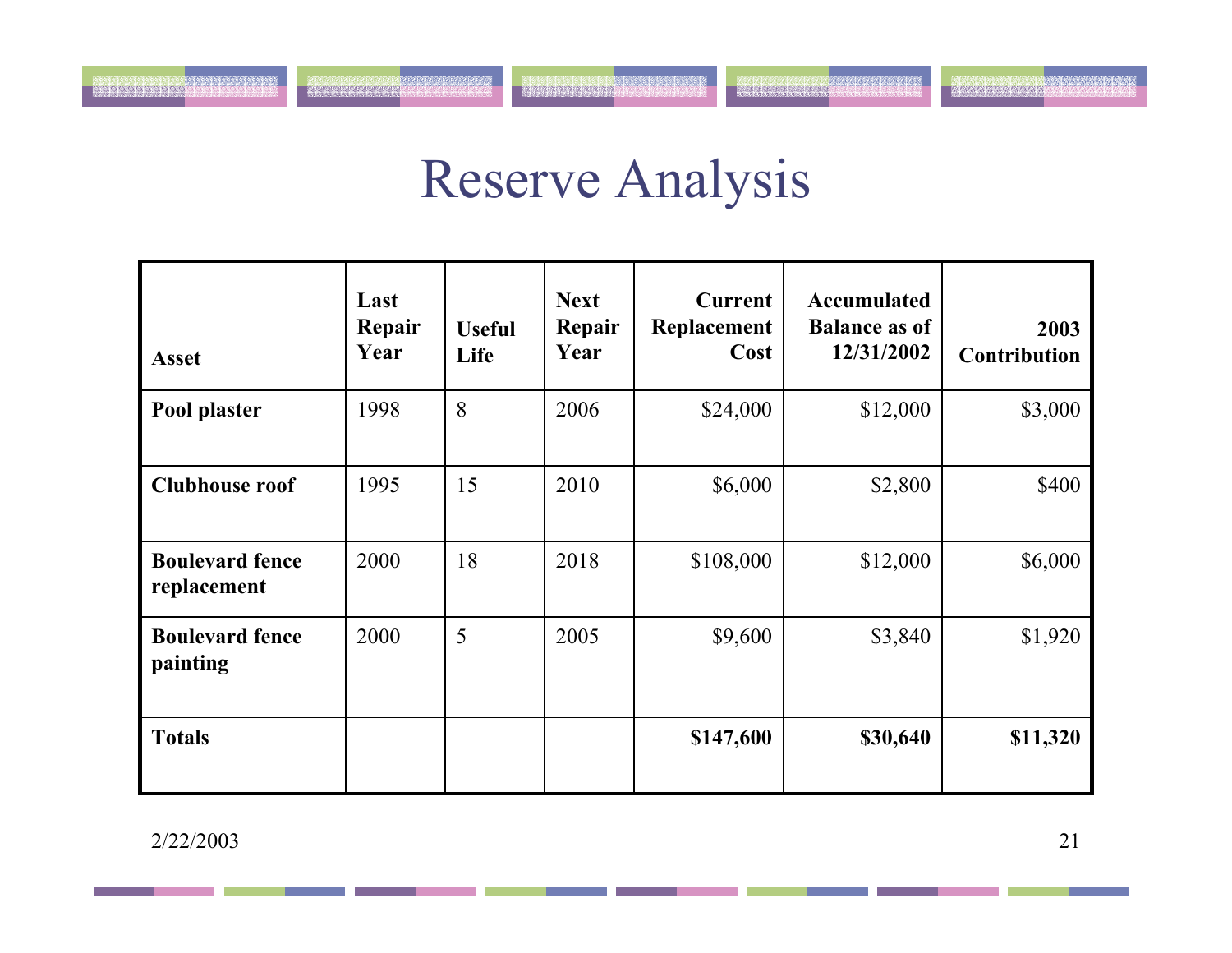# Reserve Analysis

<u> Arabasan anabasa</u>

| <b>Asset</b>                          | Last<br>Repair<br>Year | <b>Useful</b><br>Life | <b>Next</b><br>Repair<br>Year | <b>Current</b><br>Replacement<br>Cost | <b>Accumulated</b><br><b>Balance as of</b><br>12/31/2002 | 2003<br><b>Contribution</b> |
|---------------------------------------|------------------------|-----------------------|-------------------------------|---------------------------------------|----------------------------------------------------------|-----------------------------|
| Pool plaster                          | 1998                   | 8                     | 2006                          | \$24,000                              | \$12,000                                                 | \$3,000                     |
| <b>Clubhouse roof</b>                 | 1995                   | 15                    | 2010                          | \$6,000                               | \$2,800                                                  | \$400                       |
| <b>Boulevard fence</b><br>replacement | 2000                   | 18                    | 2018                          | \$108,000                             | \$12,000                                                 | \$6,000                     |
| <b>Boulevard fence</b><br>painting    | 2000                   | 5                     | 2005                          | \$9,600                               | \$3,840                                                  | \$1,920                     |
| <b>Totals</b>                         |                        |                       |                               | \$147,600                             | \$30,640                                                 | \$11,320                    |

2/22/2003

e de la companya de la companya de la companya de la companya de la companya de la companya de la companya de<br>La companya de la companya de la companya de la companya de la companya de la companya de la companya de la co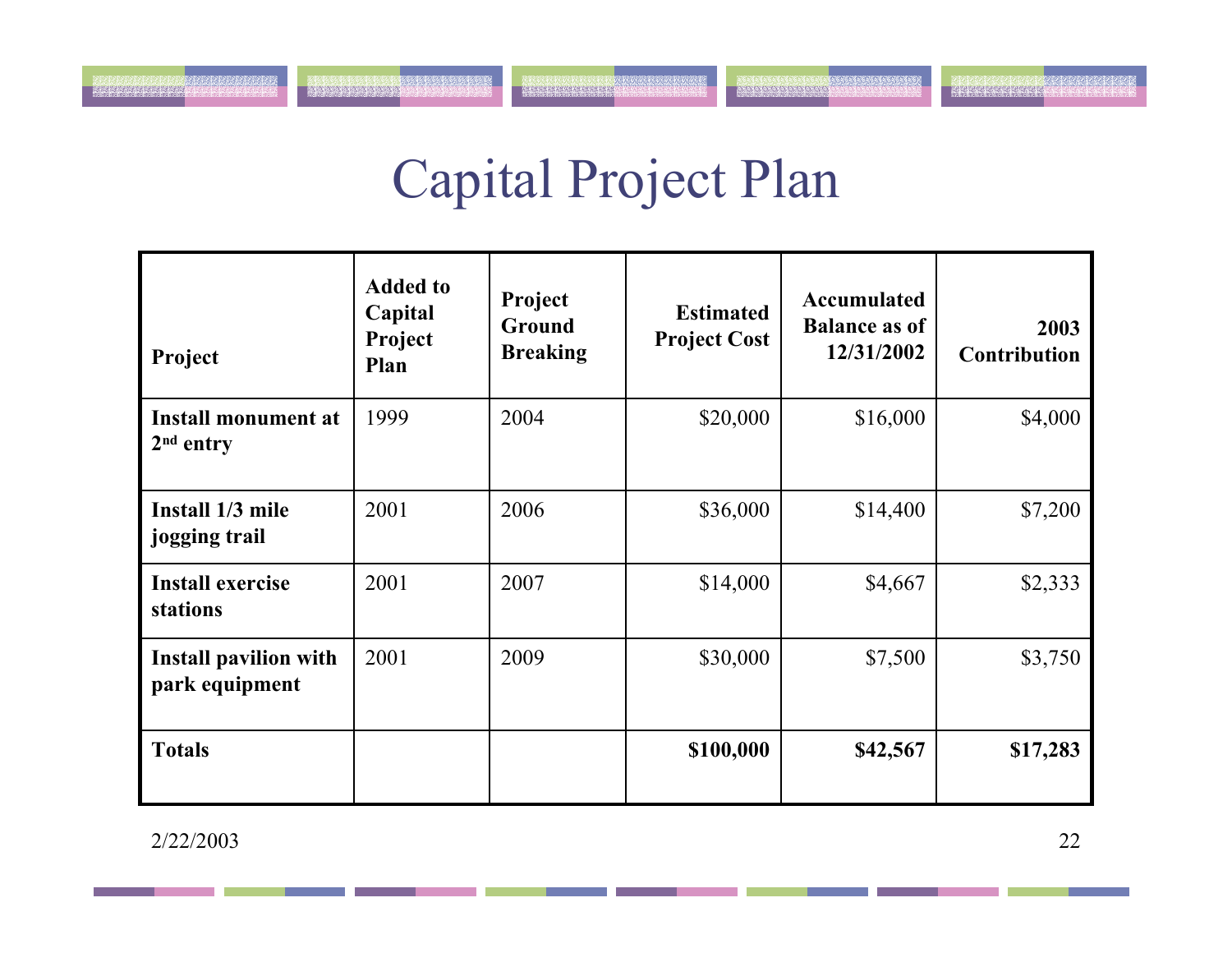# Capital Project Plan

| Project                                        | <b>Added to</b><br>Capital<br>Project<br>Plan | Project<br>Ground<br><b>Breaking</b> | <b>Estimated</b><br><b>Project Cost</b> | <b>Accumulated</b><br><b>Balance as of</b><br>12/31/2002 | 2003<br><b>Contribution</b> |
|------------------------------------------------|-----------------------------------------------|--------------------------------------|-----------------------------------------|----------------------------------------------------------|-----------------------------|
| <b>Install monument at</b><br>$2nd$ entry      | 1999                                          | 2004                                 | \$20,000                                | \$16,000                                                 | \$4,000                     |
| Install 1/3 mile<br>jogging trail              | 2001                                          | 2006                                 | \$36,000                                | \$14,400                                                 | \$7,200                     |
| <b>Install exercise</b><br>stations            | 2001                                          | 2007                                 | \$14,000                                | \$4,667                                                  | \$2,333                     |
| <b>Install pavilion with</b><br>park equipment | 2001                                          | 2009                                 | \$30,000                                | \$7,500                                                  | \$3,750                     |
| <b>Totals</b>                                  |                                               |                                      | \$100,000                               | \$42,567                                                 | \$17,283                    |

2/22/2003

i de le relació de la producta de la producta.<br>Los resolucions de la producta de la producta

**Maria Alexandra**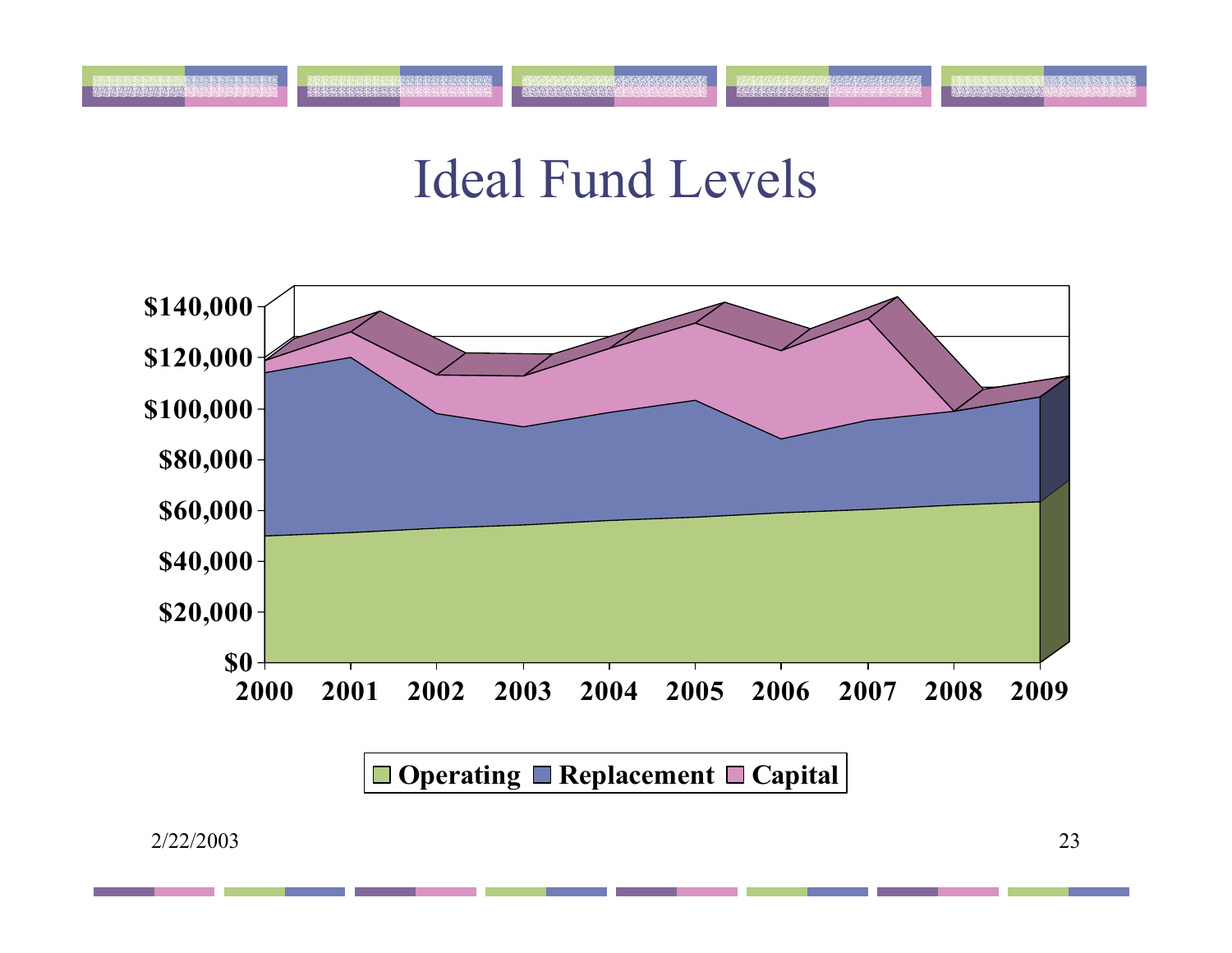## Ideal Fund Levels

.<br>Kaba tawarta tartartarta



**Operating** ■ Replacement ■ Capital

icaccioni crecerente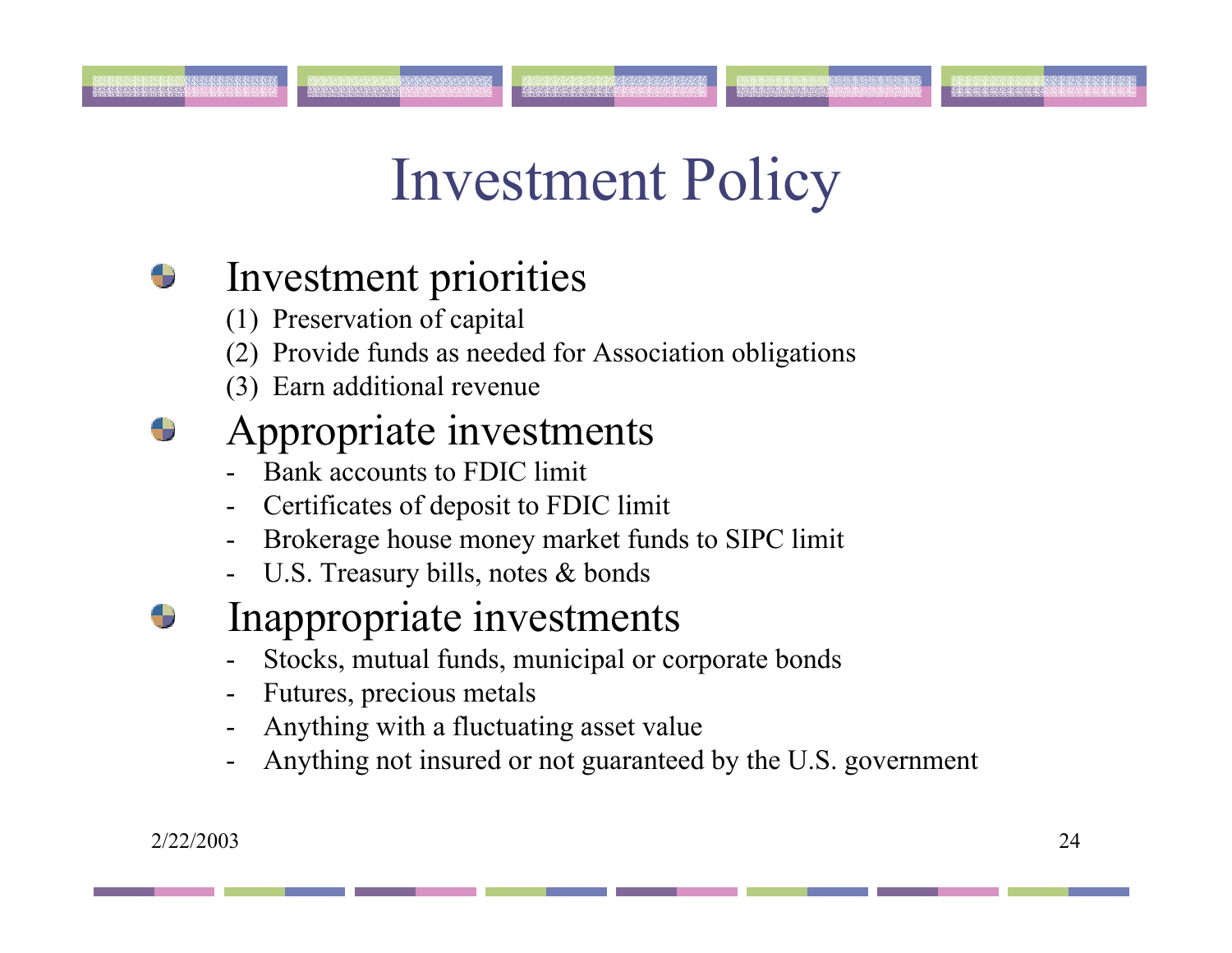# Investment Policy

#### Investment priorities

- (1) Preservation of capital
- (2) Provide funds as needed for Association obligations
- (3) Earn additional revenue

### Appropriate investments

- Bank accounts to FDIC limit
- Certificates of deposit to FDIC limit
- -Brokerage house money market funds to SIPC limit
- -U.S. Treasury bills, notes & bonds
- Inappropriate investments
	- Stocks, mutual funds, municipal or corporate bonds
	- Futures, precious metals
	- Anything with a fluctuating asset value
	- Anything not insured or not guaranteed by the U.S. government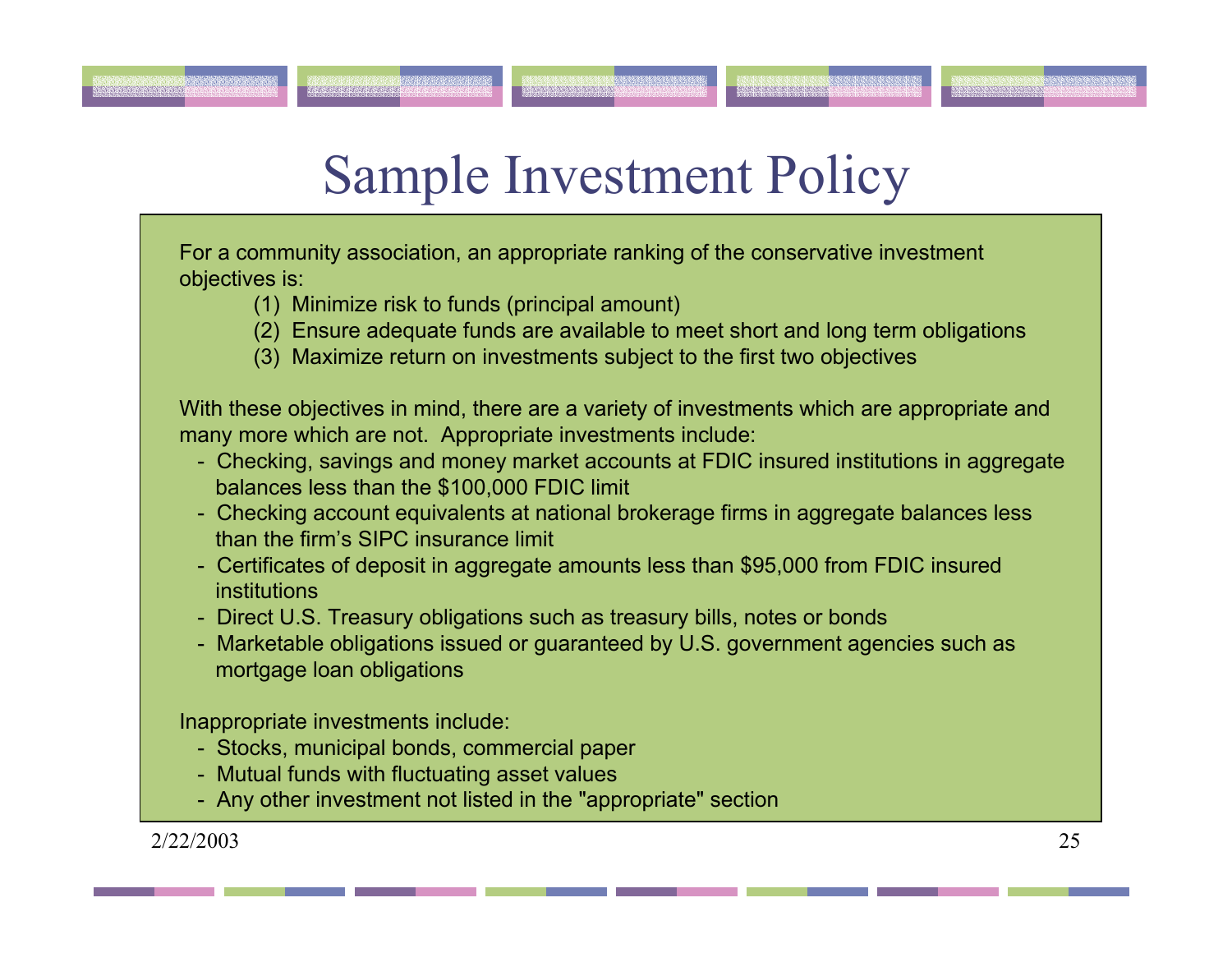# Sample Investment Policy

For a community association, an appropriate ranking of the conservative investment objectives is:

mananana

- (1) Minimize risk to funds (principal amount)
- (2) Ensure adequate funds are available to meet short and long term obligations
- (3) Maximize return on investments subject to the first two objectives

With these objectives in mind, there are a variety of investments which are appropriate and many more which are not. Appropriate investments include:

- Checking, savings and money market accounts at FDIC insured institutions in aggregate balances less than the \$100,000 FDIC limit
- Checking account equivalents at national brokerage firms in aggregate balances less than the firm's SIPC insurance limit
- Certificates of deposit in aggregate amounts less than \$95,000 from FDIC insured institutions
- Direct U.S. Treasury obligations such as treasury bills, notes or bonds
- Marketable obligations issued or guaranteed by U.S. government agencies such as mortgage loan obligations

Inappropriate investments include:

- Stocks, municipal bonds, commercial paper
- Mutual funds with fluctuating asset values
- Any other investment not listed in the "appropriate" section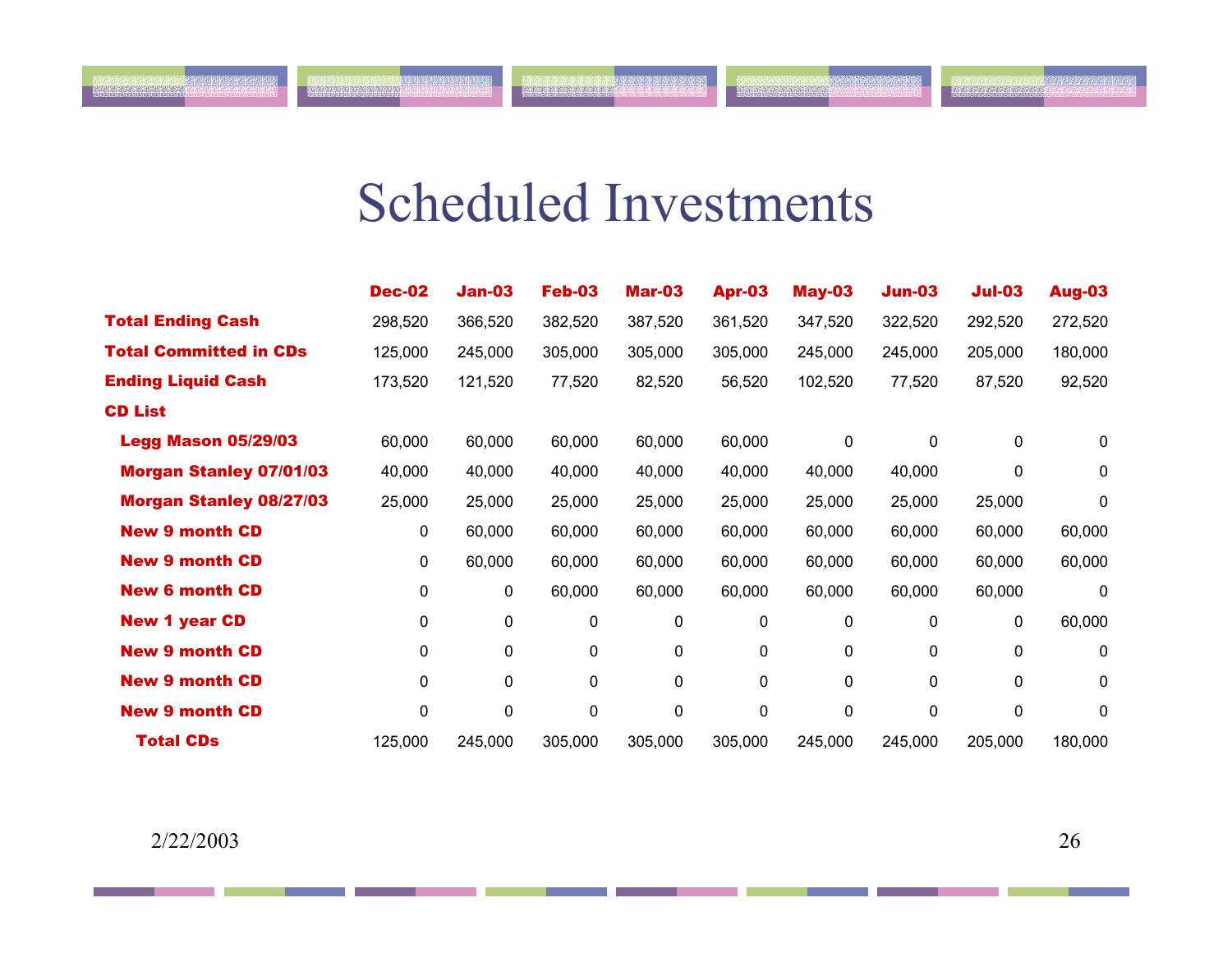## Scheduled Investments

1. 1990年12月23日

**NATIONAL PROPERTY** 

|                                | <b>Dec-02</b> | <b>Jan-03</b> | <b>Feb-03</b> | <b>Mar-03</b> | Apr-03  | <b>May-03</b> | <b>Jun-03</b> | $Jul-03$ | Aug-03  |
|--------------------------------|---------------|---------------|---------------|---------------|---------|---------------|---------------|----------|---------|
| <b>Total Ending Cash</b>       | 298,520       | 366,520       | 382,520       | 387,520       | 361,520 | 347,520       | 322,520       | 292,520  | 272,520 |
| <b>Total Committed in CDs</b>  | 125,000       | 245,000       | 305,000       | 305,000       | 305,000 | 245,000       | 245,000       | 205,000  | 180,000 |
| <b>Ending Liquid Cash</b>      | 173,520       | 121,520       | 77,520        | 82,520        | 56,520  | 102,520       | 77,520        | 87,520   | 92,520  |
| <b>CD List</b>                 |               |               |               |               |         |               |               |          |         |
| <b>Legg Mason 05/29/03</b>     | 60,000        | 60,000        | 60,000        | 60,000        | 60,000  | 0             | $\mathbf 0$   | 0        | 0       |
| <b>Morgan Stanley 07/01/03</b> | 40,000        | 40,000        | 40,000        | 40,000        | 40,000  | 40,000        | 40,000        | 0        | 0       |
| <b>Morgan Stanley 08/27/03</b> | 25,000        | 25,000        | 25,000        | 25,000        | 25,000  | 25,000        | 25,000        | 25,000   | 0       |
| <b>New 9 month CD</b>          | 0             | 60,000        | 60,000        | 60,000        | 60,000  | 60,000        | 60,000        | 60,000   | 60,000  |
| <b>New 9 month CD</b>          | 0             | 60,000        | 60,000        | 60,000        | 60,000  | 60,000        | 60,000        | 60,000   | 60,000  |
| <b>New 6 month CD</b>          | 0             | 0             | 60,000        | 60,000        | 60,000  | 60,000        | 60,000        | 60,000   | 0       |
| <b>New 1 year CD</b>           | 0             | 0             | 0             | 0             | 0       | 0             | 0             | 0        | 60,000  |
| <b>New 9 month CD</b>          | 0             | 0             | 0             | 0             | 0       | 0             | 0             | 0        | 0       |
| <b>New 9 month CD</b>          | 0             | 0             | 0             | 0             | 0       | 0             | 0             | 0        | 0       |
| <b>New 9 month CD</b>          | 0             | 0             | 0             | 0             | 0       | 0             | 0             | 0        | 0       |
| <b>Total CDs</b>               | 125,000       | 245,000       | 305,000       | 305,000       | 305,000 | 245,000       | 245,000       | 205,000  | 180,000 |

anana na mpia mata na m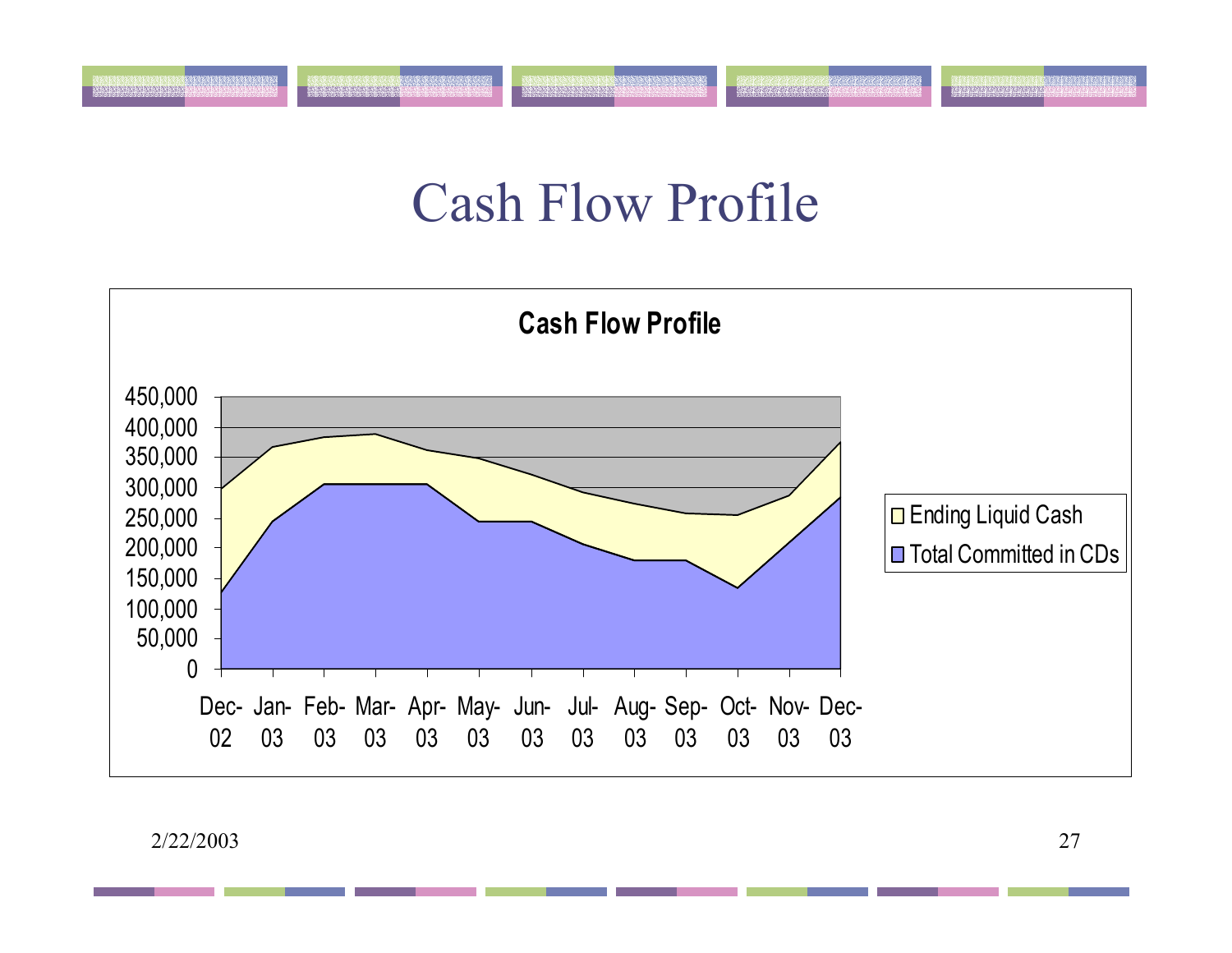## Cash Flow Profile

e kontrolari kanadan da kanadan da kanada.<br>Samaran da kanadan da artista tarta tarta

કે પણ વાંચો છે કે પણ તેમ જ પશુપાલન છે. આ ગામમાં આવેલા આ ગામમાં આવેલા છે.<br>આ ગામમાં આવેલા કે પણ તેમ જ પશુપાલન છે. આ ગામમાં આવેલા પણ તેમ જ પશુપાલન છે.



2/22/2003

<u>ginnan an an a</u>

TRAPATRIARING ARANG MANAS